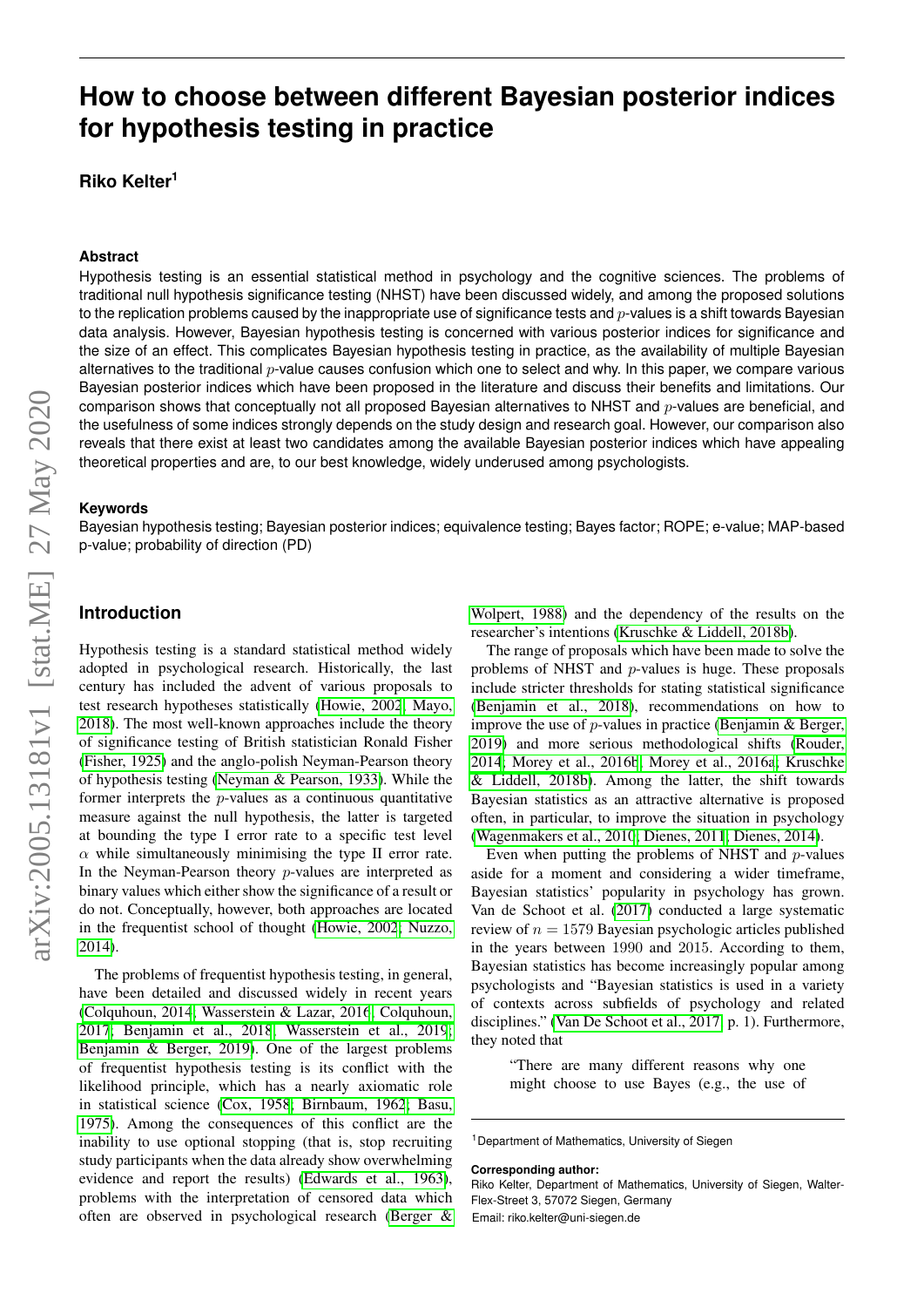# **How to choose between different Bayesian posterior indices for hypothesis testing in practice**

**Riko Kelter<sup>1</sup>**

#### **Abstract**

Hypothesis testing is an essential statistical method in psychology and the cognitive sciences. The problems of traditional null hypothesis significance testing (NHST) have been discussed widely, and among the proposed solutions to the replication problems caused by the inappropriate use of significance tests and  $p$ -values is a shift towards Bayesian data analysis. However, Bayesian hypothesis testing is concerned with various posterior indices for significance and the size of an effect. This complicates Bayesian hypothesis testing in practice, as the availability of multiple Bayesian alternatives to the traditional  $p$ -value causes confusion which one to select and why. In this paper, we compare various Bayesian posterior indices which have been proposed in the literature and discuss their benefits and limitations. Our comparison shows that conceptually not all proposed Bayesian alternatives to NHST and  $p$ -values are beneficial, and the usefulness of some indices strongly depends on the study design and research goal. However, our comparison also reveals that there exist at least two candidates among the available Bayesian posterior indices which have appealing theoretical properties and are, to our best knowledge, widely underused among psychologists.

#### **Keywords**

Bayesian hypothesis testing; Bayesian posterior indices; equivalence testing; Bayes factor; ROPE; e-value; MAP-based p-value; probability of direction (PD)

#### **Introduction**

Hypothesis testing is a standard statistical method widely adopted in psychological research. Historically, the last century has included the advent of various proposals to test research hypotheses statistically [\(Howie, 2002](#page-12-0)[; Mayo,](#page-13-0) [2018\)](#page-13-0). The most well-known approaches include the theory of significance testing of British statistician Ronald Fisher [\(Fisher, 1925\)](#page-12-1) and the anglo-polish Neyman-Pearson theory of hypothesis testing [\(Neyman & Pearson, 1933\)](#page-13-1). While the former interprets the  $p$ -values as a continuous quantitative measure against the null hypothesis, the latter is targeted at bounding the type I error rate to a specific test level  $\alpha$  while simultaneously minimising the type II error rate. In the Neyman-Pearson theory  $p$ -values are interpreted as binary values which either show the significance of a result or do not. Conceptually, however, both approaches are located in the frequentist school of thought [\(Howie, 2002](#page-12-0)[; Nuzzo,](#page-13-2) [2014\)](#page-13-2).

The problems of frequentist hypothesis testing, in general, have been detailed and discussed widely in recent years [\(Colquhoun, 2014](#page-11-0)[; Wasserstein & Lazar, 2016](#page-14-0)[; Colquhoun,](#page-12-2) [2017](#page-12-2)[; Benjamin et al., 2018](#page-11-1)[; Wasserstein et al., 2019](#page-14-1)[;](#page-11-2) [Benjamin & Berger, 2019\)](#page-11-2). One of the largest problems of frequentist hypothesis testing is its conflict with the likelihood principle, which has a nearly axiomatic role in statistical science [\(Cox, 1958](#page-12-3)[; Birnbaum, 1962](#page-11-3)[; Basu,](#page-11-4) [1975\)](#page-11-4). Among the consequences of this conflict are the inability to use optional stopping (that is, stop recruiting study participants when the data already show overwhelming evidence and report the results) [\(Edwards et al., 1963\)](#page-12-4), problems with the interpretation of censored data which often are observed in psychological research [\(Berger &](#page-11-5)

[Wolpert, 1988\)](#page-11-5) and the dependency of the results on the researcher's intentions [\(Kruschke & Liddell, 2018b\)](#page-13-3).

The range of proposals which have been made to solve the problems of NHST and p-values is huge. These proposals include stricter thresholds for stating statistical significance [\(Benjamin et al., 2018\)](#page-11-1), recommendations on how to improve the use of  $p$ -values in practice [\(Benjamin & Berger,](#page-11-2) [2019\)](#page-11-2) and more serious methodological shifts [\(Rouder,](#page-13-4) [2014](#page-13-4)[; Morey et al., 2016b](#page-13-5)[; Morey et al., 2016a](#page-13-6)[; Kruschke](#page-13-3) [& Liddell, 2018b\)](#page-13-3). Among the latter, the shift towards Bayesian statistics as an attractive alternative is proposed often, in particular, to improve the situation in psychology [\(Wagenmakers et al., 2010](#page-14-2)[; Dienes, 2011](#page-12-5)[; Dienes, 2014\)](#page-12-6).

Even when putting the problems of NHST and  $p$ -values aside for a moment and considering a wider timeframe, Bayesian statistics' popularity in psychology has grown. Van de Schoot et al. [\(2017\)](#page-14-3) conducted a large systematic review of  $n = 1579$  Bayesian psychologic articles published in the years between 1990 and 2015. According to them, Bayesian statistics has become increasingly popular among psychologists and "Bayesian statistics is used in a variety of contexts across subfields of psychology and related disciplines." [\(Van De Schoot et al., 2017,](#page-14-3) p. 1). Furthermore, they noted that

> "There are many different reasons why one might choose to use Bayes (e.g., the use of

**Corresponding author:**

Riko Kelter, Department of Mathematics, University of Siegen, Walter-Flex-Street 3, 57072 Siegen, Germany Email: riko.kelter@uni-siegen.de

<sup>&</sup>lt;sup>1</sup> Department of Mathematics, University of Siegen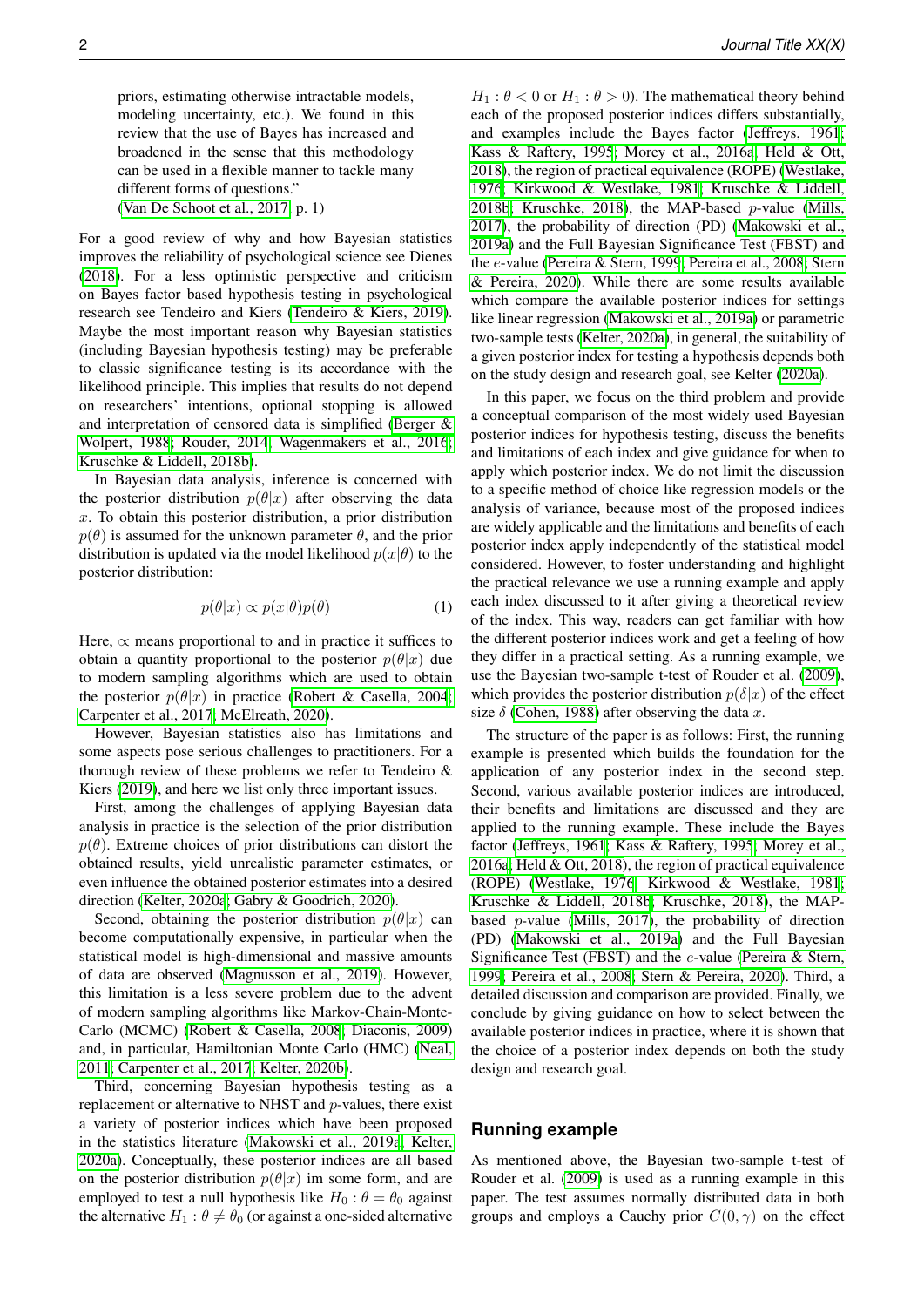priors, estimating otherwise intractable models, modeling uncertainty, etc.). We found in this review that the use of Bayes has increased and broadened in the sense that this methodology can be used in a flexible manner to tackle many different forms of questions." [\(Van De Schoot et al., 2017,](#page-14-3) p. 1)

For a good review of why and how Bayesian statistics improves the reliability of psychological science see Dienes [\(2018\)](#page-12-7). For a less optimistic perspective and criticism on Bayes factor based hypothesis testing in psychological research see Tendeiro and Kiers [\(Tendeiro & Kiers, 2019\)](#page-13-7). Maybe the most important reason why Bayesian statistics (including Bayesian hypothesis testing) may be preferable to classic significance testing is its accordance with the likelihood principle. This implies that results do not depend on researchers' intentions, optional stopping is allowed and interpretation of censored data is simplified [\(Berger &](#page-11-5) [Wolpert, 1988](#page-11-5)[; Rouder, 2014](#page-13-4)[; Wagenmakers et al., 2016](#page-14-4)[;](#page-13-3) [Kruschke & Liddell, 2018b\)](#page-13-3).

In Bayesian data analysis, inference is concerned with the posterior distribution  $p(\theta|x)$  after observing the data  $x$ . To obtain this posterior distribution, a prior distribution  $p(\theta)$  is assumed for the unknown parameter  $\theta$ , and the prior distribution is updated via the model likelihood  $p(x|\theta)$  to the posterior distribution:

$$
p(\theta|x) \propto p(x|\theta)p(\theta) \tag{1}
$$

Here,  $\propto$  means proportional to and in practice it suffices to obtain a quantity proportional to the posterior  $p(\theta|x)$  due to modern sampling algorithms which are used to obtain the posterior  $p(\theta|x)$  in practice [\(Robert & Casella, 2004](#page-13-8)[;](#page-11-6) [Carpenter et al., 2017](#page-11-6)[; McElreath, 2020\)](#page-13-9).

However, Bayesian statistics also has limitations and some aspects pose serious challenges to practitioners. For a thorough review of these problems we refer to Tendeiro & Kiers [\(2019\)](#page-13-7), and here we list only three important issues.

First, among the challenges of applying Bayesian data analysis in practice is the selection of the prior distribution  $p(\theta)$ . Extreme choices of prior distributions can distort the obtained results, yield unrealistic parameter estimates, or even influence the obtained posterior estimates into a desired direction [\(Kelter, 2020a](#page-12-8)[; Gabry & Goodrich, 2020\)](#page-12-9).

Second, obtaining the posterior distribution  $p(\theta|x)$  can become computationally expensive, in particular when the statistical model is high-dimensional and massive amounts of data are observed [\(Magnusson et al., 2019\)](#page-13-10). However, this limitation is a less severe problem due to the advent of modern sampling algorithms like Markov-Chain-Monte-Carlo (MCMC) [\(Robert & Casella, 2008](#page-13-11)[; Diaconis, 2009\)](#page-12-10) and, in particular, Hamiltonian Monte Carlo (HMC) [\(Neal,](#page-13-12) [2011](#page-13-12)[; Carpenter et al., 2017](#page-11-6)[; Kelter, 2020b\)](#page-12-11).

Third, concerning Bayesian hypothesis testing as a replacement or alternative to NHST and p-values, there exist a variety of posterior indices which have been proposed in the statistics literature [\(Makowski et al., 2019a](#page-13-13)[; Kelter,](#page-12-8) [2020a\)](#page-12-8). Conceptually, these posterior indices are all based on the posterior distribution  $p(\theta|x)$  im some form, and are employed to test a null hypothesis like  $H_0$ :  $\theta = \theta_0$  against the alternative  $H_1$ :  $\theta \neq \theta_0$  (or against a one-sided alternative

 $H_1$ :  $\theta$  < 0 or  $H_1$ :  $\theta$  > 0). The mathematical theory behind each of the proposed posterior indices differs substantially, and examples include the Bayes factor [\(Jeffreys, 1961](#page-12-12)[;](#page-12-13) [Kass & Raftery, 1995](#page-12-13)[; Morey et al., 2016a](#page-13-6)[; Held & Ott,](#page-12-14) [2018\)](#page-12-14), the region of practical equivalence (ROPE) [\(Westlake,](#page-14-5) [1976](#page-14-5)[; Kirkwood & Westlake, 1981](#page-12-15)[; Kruschke & Liddell,](#page-13-3) [2018b](#page-13-3)[; Kruschke, 2018\)](#page-12-16), the MAP-based  $p$ -value [\(Mills,](#page-13-14) [2017\)](#page-13-14), the probability of direction (PD) [\(Makowski et al.,](#page-13-13) [2019a\)](#page-13-13) and the Full Bayesian Significance Test (FBST) and the e-value [\(Pereira & Stern, 1999](#page-13-15)[; Pereira et al., 2008](#page-13-16)[; Stern](#page-13-17) [& Pereira, 2020\)](#page-13-17). While there are some results available which compare the available posterior indices for settings like linear regression [\(Makowski et al., 2019a\)](#page-13-13) or parametric two-sample tests [\(Kelter, 2020a\)](#page-12-8), in general, the suitability of a given posterior index for testing a hypothesis depends both on the study design and research goal, see Kelter [\(2020a\)](#page-12-8).

In this paper, we focus on the third problem and provide a conceptual comparison of the most widely used Bayesian posterior indices for hypothesis testing, discuss the benefits and limitations of each index and give guidance for when to apply which posterior index. We do not limit the discussion to a specific method of choice like regression models or the analysis of variance, because most of the proposed indices are widely applicable and the limitations and benefits of each posterior index apply independently of the statistical model considered. However, to foster understanding and highlight the practical relevance we use a running example and apply each index discussed to it after giving a theoretical review of the index. This way, readers can get familiar with how the different posterior indices work and get a feeling of how they differ in a practical setting. As a running example, we use the Bayesian two-sample t-test of Rouder et al. [\(2009\)](#page-13-18), which provides the posterior distribution  $p(\delta|x)$  of the effect size  $\delta$  [\(Cohen, 1988\)](#page-11-7) after observing the data x.

The structure of the paper is as follows: First, the running example is presented which builds the foundation for the application of any posterior index in the second step. Second, various available posterior indices are introduced, their benefits and limitations are discussed and they are applied to the running example. These include the Bayes factor [\(Jeffreys, 1961](#page-12-12)[; Kass & Raftery, 1995](#page-12-13)[; Morey et al.,](#page-13-6) [2016a](#page-13-6)[; Held & Ott, 2018\)](#page-12-14), the region of practical equivalence (ROPE) [\(Westlake, 1976](#page-14-5)[; Kirkwood & Westlake, 1981](#page-12-15)[;](#page-13-3) [Kruschke & Liddell, 2018b](#page-13-3)[; Kruschke, 2018\)](#page-12-16), the MAPbased p-value [\(Mills, 2017\)](#page-13-14), the probability of direction (PD) [\(Makowski et al., 2019a\)](#page-13-13) and the Full Bayesian Significance Test (FBST) and the e-value [\(Pereira & Stern,](#page-13-15) [1999](#page-13-15)[; Pereira et al., 2008](#page-13-16)[; Stern & Pereira, 2020\)](#page-13-17). Third, a detailed discussion and comparison are provided. Finally, we conclude by giving guidance on how to select between the available posterior indices in practice, where it is shown that the choice of a posterior index depends on both the study design and research goal.

# **Running example**

As mentioned above, the Bayesian two-sample t-test of Rouder et al. [\(2009\)](#page-13-18) is used as a running example in this paper. The test assumes normally distributed data in both groups and employs a Cauchy prior  $C(0, \gamma)$  on the effect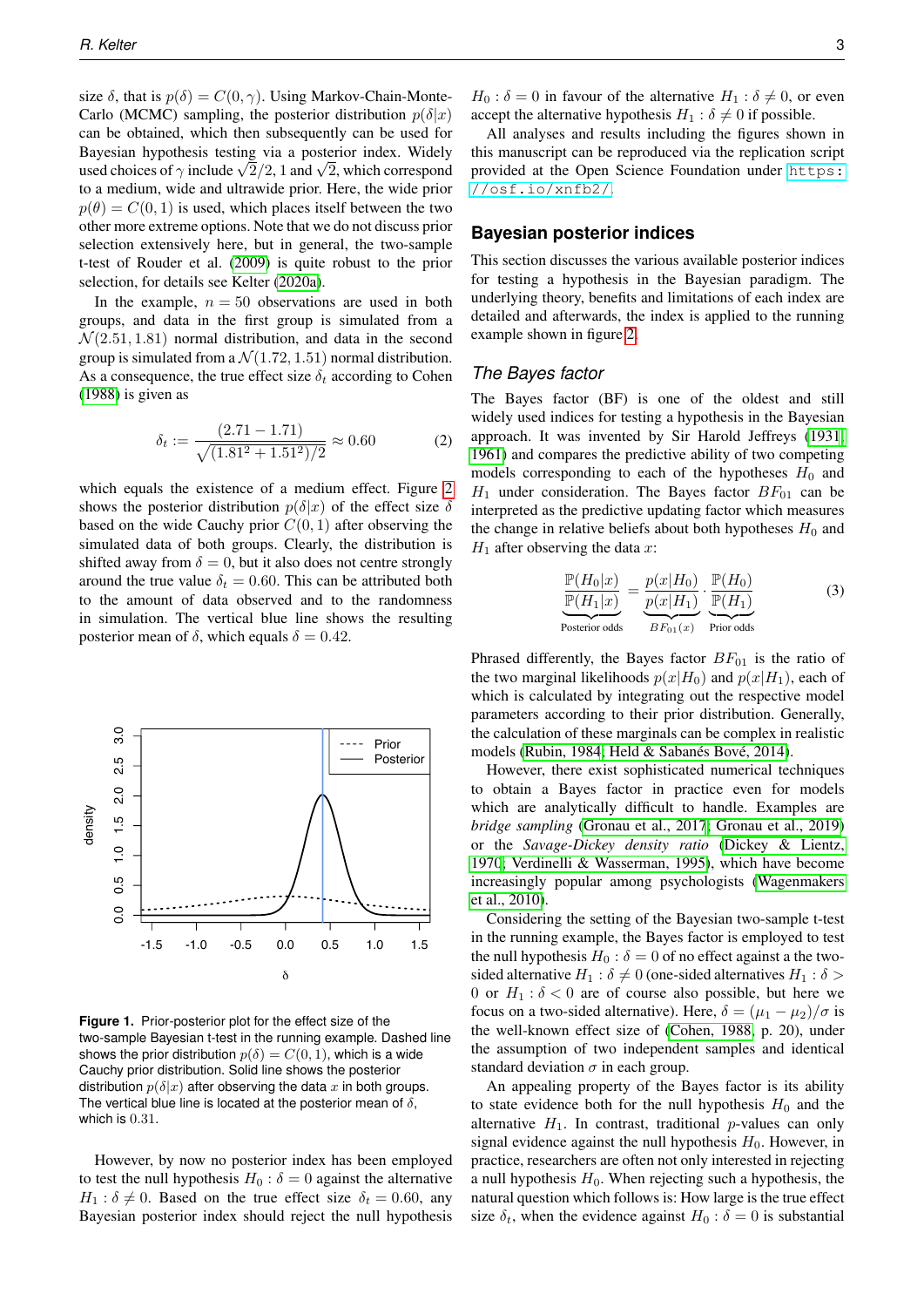size  $\delta$ , that is  $p(\delta) = C(0, \gamma)$ . Using Markov-Chain-Monte-Carlo (MCMC) sampling, the posterior distribution  $p(\delta|x)$ can be obtained, which then subsequently can be used for Bayesian hypothesis testing via a posterior index. Widely Bayesian hypothesis testing via a posterior index. Widely used choices of  $\gamma$  include  $\sqrt{2}/2$ , 1 and  $\sqrt{2}$ , which correspond to a medium, wide and ultrawide prior. Here, the wide prior  $p(\theta) = C(0, 1)$  is used, which places itself between the two other more extreme options. Note that we do not discuss prior selection extensively here, but in general, the two-sample t-test of Rouder et al. [\(2009\)](#page-13-18) is quite robust to the prior selection, for details see Kelter [\(2020a\)](#page-12-8).

In the example,  $n = 50$  observations are used in both groups, and data in the first group is simulated from a  $\mathcal{N}(2.51, 1.81)$  normal distribution, and data in the second group is simulated from a  $\mathcal{N}(1.72, 1.51)$  normal distribution. As a consequence, the true effect size  $\delta_t$  according to Cohen [\(1988\)](#page-11-7) is given as

$$
\delta_t := \frac{(2.71 - 1.71)}{\sqrt{(1.81^2 + 1.51^2)/2}} \approx 0.60\tag{2}
$$

which equals the existence of a medium effect. Figure [2](#page-3-0) shows the posterior distribution  $p(\delta|x)$  of the effect size  $\delta$ based on the wide Cauchy prior  $C(0, 1)$  after observing the simulated data of both groups. Clearly, the distribution is shifted away from  $\delta = 0$ , but it also does not centre strongly around the true value  $\delta_t = 0.60$ . This can be attributed both to the amount of data observed and to the randomness in simulation. The vertical blue line shows the resulting posterior mean of  $\delta$ , which equals  $\delta = 0.42$ .



**Figure 1.** Prior-posterior plot for the effect size of the two-sample Bayesian t-test in the running example. Dashed line shows the prior distribution  $p(\delta) = C(0, 1)$ , which is a wide Cauchy prior distribution. Solid line shows the posterior distribution  $p(\delta|x)$  after observing the data x in both groups. The vertical blue line is located at the posterior mean of  $\delta$ , which is 0.31.

However, by now no posterior index has been employed to test the null hypothesis  $H_0$ :  $\delta = 0$  against the alternative  $H_1$ :  $\delta \neq 0$ . Based on the true effect size  $\delta_t = 0.60$ , any Bayesian posterior index should reject the null hypothesis

 $H_0$ :  $\delta = 0$  in favour of the alternative  $H_1$ :  $\delta \neq 0$ , or even accept the alternative hypothesis  $H_1 : \delta \neq 0$  if possible.

All analyses and results including the figures shown in this manuscript can be reproduced via the replication script provided at the Open Science Foundation under [https:](https://osf.io/xnfb2/) [//osf.io/xnfb2/](https://osf.io/xnfb2/).

#### **Bayesian posterior indices**

This section discusses the various available posterior indices for testing a hypothesis in the Bayesian paradigm. The underlying theory, benefits and limitations of each index are detailed and afterwards, the index is applied to the running example shown in figure [2.](#page-3-0)

#### *The Bayes factor*

The Bayes factor (BF) is one of the oldest and still widely used indices for testing a hypothesis in the Bayesian approach. It was invented by Sir Harold Jeffreys [\(1931](#page-12-17)[,](#page-12-12) [1961\)](#page-12-12) and compares the predictive ability of two competing models corresponding to each of the hypotheses  $H_0$  and  $H_1$  under consideration. The Bayes factor  $BF_{01}$  can be interpreted as the predictive updating factor which measures the change in relative beliefs about both hypotheses  $H_0$  and  $H_1$  after observing the data x:

<span id="page-2-0"></span>
$$
\frac{\mathbb{P}(H_0|x)}{\mathbb{P}(H_1|x)} = \underbrace{\frac{p(x|H_0)}{p(x|H_1)}}_{B \text{Forsion odds}} \cdot \underbrace{\frac{\mathbb{P}(H_0)}{\mathbb{P}(H_1)}}_{B \text{Fors odds}} \tag{3}
$$

Phrased differently, the Bayes factor  $BF_{01}$  is the ratio of the two marginal likelihoods  $p(x|H_0)$  and  $p(x|H_1)$ , each of which is calculated by integrating out the respective model parameters according to their prior distribution. Generally, the calculation of these marginals can be complex in realistic models [\(Rubin, 1984](#page-13-19); Held & Sabanés Bové, 2014).

However, there exist sophisticated numerical techniques to obtain a Bayes factor in practice even for models which are analytically difficult to handle. Examples are *bridge sampling* [\(Gronau et al., 2017](#page-12-19)[; Gronau et al., 2019\)](#page-12-20) or the *Savage-Dickey density ratio* [\(Dickey & Lientz,](#page-12-21) [1970](#page-12-21)[; Verdinelli & Wasserman, 1995\)](#page-14-6), which have become increasingly popular among psychologists [\(Wagenmakers](#page-14-2) [et al., 2010\)](#page-14-2).

Considering the setting of the Bayesian two-sample t-test in the running example, the Bayes factor is employed to test the null hypothesis  $H_0$ :  $\delta = 0$  of no effect against a the twosided alternative  $H_1 : \delta \neq 0$  (one-sided alternatives  $H_1 : \delta >$ 0 or  $H_1$ :  $\delta$  < 0 are of course also possible, but here we focus on a two-sided alternative). Here,  $\delta = (\mu_1 - \mu_2)/\sigma$  is the well-known effect size of [\(Cohen, 1988,](#page-11-7) p. 20), under the assumption of two independent samples and identical standard deviation  $\sigma$  in each group.

An appealing property of the Bayes factor is its ability to state evidence both for the null hypothesis  $H_0$  and the alternative  $H_1$ . In contrast, traditional p-values can only signal evidence against the null hypothesis  $H_0$ . However, in practice, researchers are often not only interested in rejecting a null hypothesis  $H_0$ . When rejecting such a hypothesis, the natural question which follows is: How large is the true effect size  $\delta_t$ , when the evidence against  $H_0 : \delta = 0$  is substantial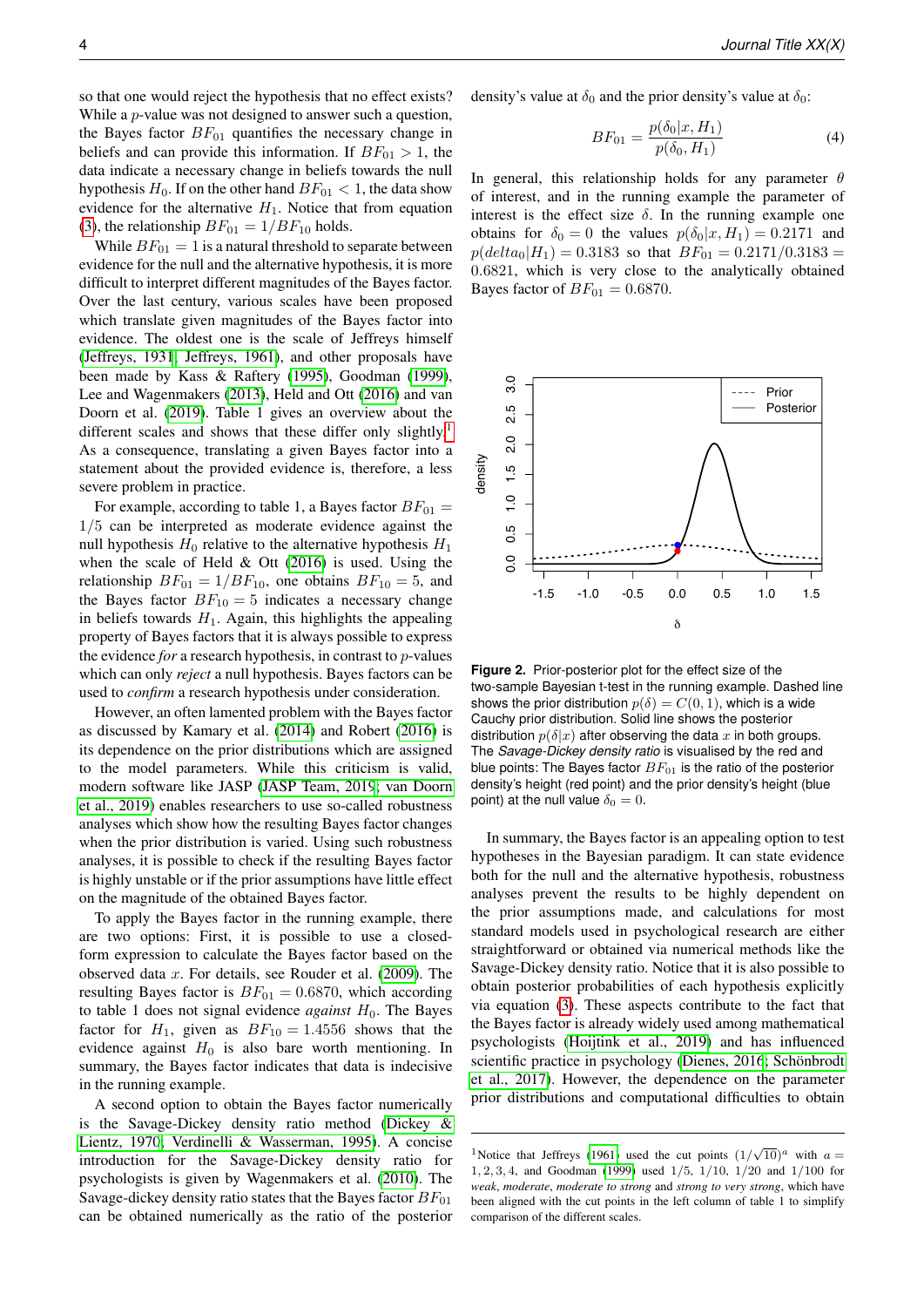so that one would reject the hypothesis that no effect exists? While a  $p$ -value was not designed to answer such a question, the Bayes factor  $BF_{01}$  quantifies the necessary change in beliefs and can provide this information. If  $BF_{01} > 1$ , the data indicate a necessary change in beliefs towards the null hypothesis  $H_0$ . If on the other hand  $BF_{01} < 1$ , the data show evidence for the alternative  $H_1$ . Notice that from equation [\(3\)](#page-2-0), the relationship  $BF_{01} = 1/BF_{10}$  holds.

While  $BF_{01} = 1$  is a natural threshold to separate between evidence for the null and the alternative hypothesis, it is more difficult to interpret different magnitudes of the Bayes factor. Over the last century, various scales have been proposed which translate given magnitudes of the Bayes factor into evidence. The oldest one is the scale of Jeffreys himself [\(Jeffreys, 1931](#page-12-17)[; Jeffreys, 1961\)](#page-12-12), and other proposals have been made by Kass & Raftery [\(1995\)](#page-12-13), Goodman [\(1999\)](#page-12-22), Lee and Wagenmakers [\(2013\)](#page-13-20), Held and Ott [\(2016\)](#page-12-23) and van Doorn et al. [\(2019\)](#page-12-24). Table 1 gives an overview about the different scales and shows that these differ only slightly.<sup>[1](#page-3-1)</sup> As a consequence, translating a given Bayes factor into a statement about the provided evidence is, therefore, a less severe problem in practice.

For example, according to table 1, a Bayes factor  $BF_{01}$  = 1/5 can be interpreted as moderate evidence against the null hypothesis  $H_0$  relative to the alternative hypothesis  $H_1$ when the scale of Held & Ott [\(2016\)](#page-12-23) is used. Using the relationship  $BF_{01} = 1/BF_{10}$ , one obtains  $BF_{10} = 5$ , and the Bayes factor  $BF_{10} = 5$  indicates a necessary change in beliefs towards  $H_1$ . Again, this highlights the appealing property of Bayes factors that it is always possible to express the evidence *for* a research hypothesis, in contrast to p-values which can only *reject* a null hypothesis. Bayes factors can be used to *confirm* a research hypothesis under consideration.

However, an often lamented problem with the Bayes factor as discussed by Kamary et al. [\(2014\)](#page-12-25) and Robert [\(2016\)](#page-13-21) is its dependence on the prior distributions which are assigned to the model parameters. While this criticism is valid, modern software like JASP [\(JASP Team, 2019](#page-12-26)[; van Doorn](#page-12-24) [et al., 2019\)](#page-12-24) enables researchers to use so-called robustness analyses which show how the resulting Bayes factor changes when the prior distribution is varied. Using such robustness analyses, it is possible to check if the resulting Bayes factor is highly unstable or if the prior assumptions have little effect on the magnitude of the obtained Bayes factor.

To apply the Bayes factor in the running example, there are two options: First, it is possible to use a closedform expression to calculate the Bayes factor based on the observed data x. For details, see Rouder et al. [\(2009\)](#page-13-18). The resulting Bayes factor is  $BF_{01} = 0.6870$ , which according to table 1 does not signal evidence *against*  $H_0$ . The Bayes factor for  $H_1$ , given as  $BF_{10} = 1.4556$  shows that the evidence against  $H_0$  is also bare worth mentioning. In summary, the Bayes factor indicates that data is indecisive in the running example.

A second option to obtain the Bayes factor numerically is the Savage-Dickey density ratio method [\(Dickey &](#page-12-21) [Lientz, 1970](#page-12-21)[; Verdinelli & Wasserman, 1995\)](#page-14-6). A concise introduction for the Savage-Dickey density ratio for psychologists is given by Wagenmakers et al. [\(2010\)](#page-14-2). The Savage-dickey density ratio states that the Bayes factor  $BF_{01}$ can be obtained numerically as the ratio of the posterior density's value at  $\delta_0$  and the prior density's value at  $\delta_0$ :

$$
BF_{01} = \frac{p(\delta_0|x, H_1)}{p(\delta_0, H_1)}\tag{4}
$$

In general, this relationship holds for any parameter  $\theta$ of interest, and in the running example the parameter of interest is the effect size  $\delta$ . In the running example one obtains for  $\delta_0 = 0$  the values  $p(\delta_0|x, H_1) = 0.2171$  and  $p(detta_0|H_1) = 0.3183$  so that  $BF_{01} = 0.2171/0.3183$  = 0.6821, which is very close to the analytically obtained Bayes factor of  $BF_{01} = 0.6870$ .

<span id="page-3-0"></span>

**Figure 2.** Prior-posterior plot for the effect size of the two-sample Bayesian t-test in the running example. Dashed line shows the prior distribution  $p(\delta) = C(0, 1)$ , which is a wide Cauchy prior distribution. Solid line shows the posterior distribution  $p(\delta|x)$  after observing the data x in both groups. The *Savage-Dickey density ratio* is visualised by the red and blue points: The Bayes factor  $BF_{01}$  is the ratio of the posterior density's height (red point) and the prior density's height (blue point) at the null value  $\delta_0 = 0$ .

In summary, the Bayes factor is an appealing option to test hypotheses in the Bayesian paradigm. It can state evidence both for the null and the alternative hypothesis, robustness analyses prevent the results to be highly dependent on the prior assumptions made, and calculations for most standard models used in psychological research are either straightforward or obtained via numerical methods like the Savage-Dickey density ratio. Notice that it is also possible to obtain posterior probabilities of each hypothesis explicitly via equation [\(3\)](#page-2-0). These aspects contribute to the fact that the Bayes factor is already widely used among mathematical psychologists [\(Hoijtink et al., 2019\)](#page-12-27) and has influenced scientific practice in psychology [\(Dienes, 2016](#page-12-28); Schönbrodt [et al., 2017\)](#page-13-22). However, the dependence on the parameter prior distributions and computational difficulties to obtain

<span id="page-3-1"></span><sup>&</sup>lt;sup>1</sup>Notice that Jeffreys [\(1961\)](#page-12-12) used the cut points  $(1/\sqrt{10})^a$  with  $a =$ 1, 2, 3, 4, and Goodman [\(1999\)](#page-12-22) used 1/5, 1/10, 1/20 and 1/100 for *weak*, *moderate*, *moderate to strong* and *strong to very strong*, which have been aligned with the cut points in the left column of table 1 to simplify comparison of the different scales.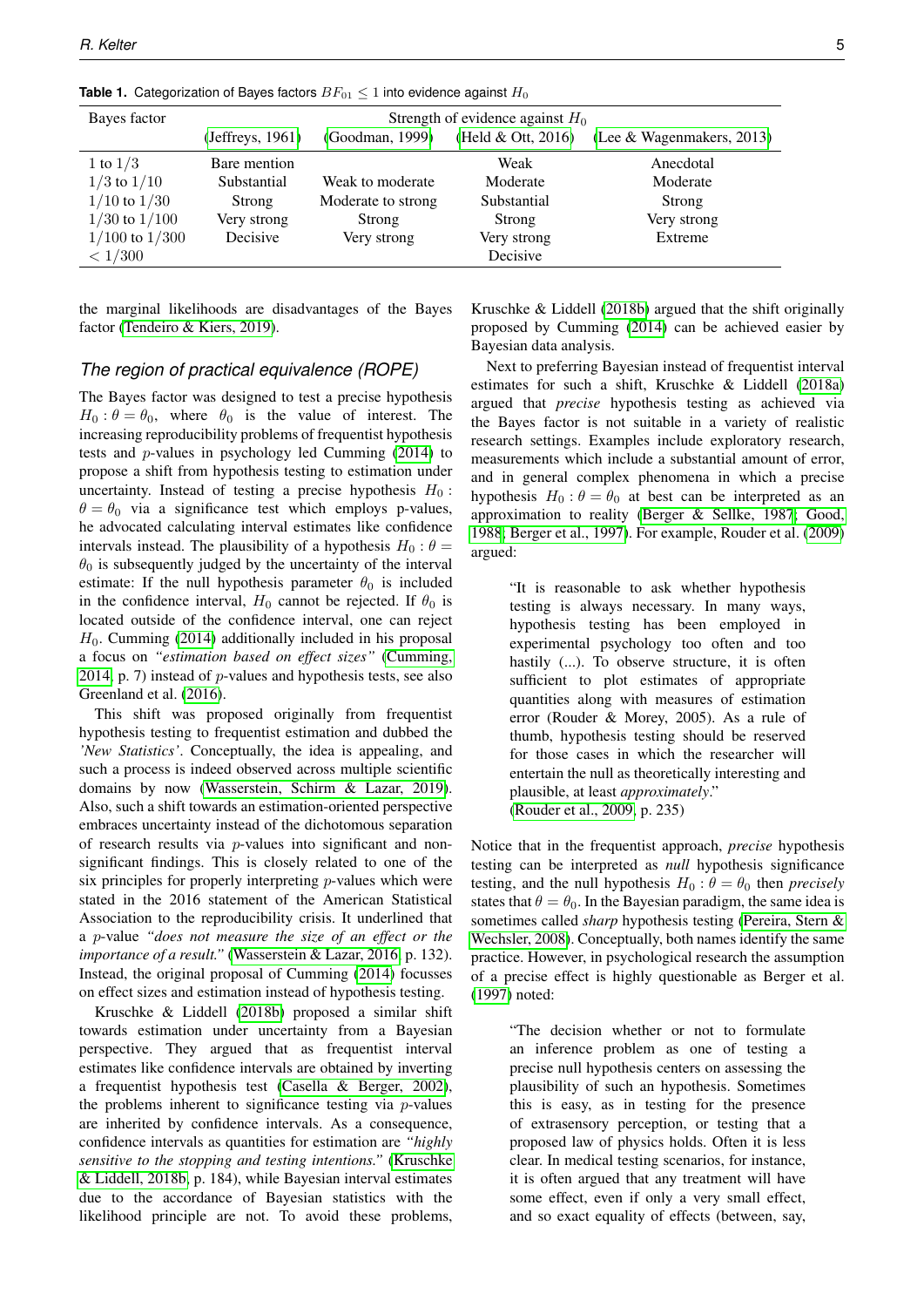| Bayes factor       | Strength of evidence against $H_0$ |                    |                    |                           |  |  |
|--------------------|------------------------------------|--------------------|--------------------|---------------------------|--|--|
|                    | (Jeffreys, 1961)                   | (Goodman, 1999)    | (Held & Ott, 2016) | (Lee & Wagenmakers, 2013) |  |  |
| 1 to $1/3$         | Bare mention                       |                    | Weak               | Anecdotal                 |  |  |
| $1/3$ to $1/10$    | Substantial                        | Weak to moderate   | Moderate           | Moderate                  |  |  |
| $1/10$ to $1/30$   | Strong                             | Moderate to strong | Substantial        | Strong                    |  |  |
| $1/30$ to $1/100$  | Very strong                        | Strong             | Strong             | Very strong               |  |  |
| $1/100$ to $1/300$ | Decisive                           | Very strong        | Very strong        | Extreme                   |  |  |
| < 1/300            |                                    |                    | Decisive           |                           |  |  |

**Table 1.** Categorization of Bayes factors  $BF_{01} \leq 1$  into evidence against  $H_0$ 

the marginal likelihoods are disadvantages of the Bayes factor [\(Tendeiro & Kiers, 2019\)](#page-13-7).

#### *The region of practical equivalence (ROPE)*

The Bayes factor was designed to test a precise hypothesis  $H_0$ :  $\theta = \theta_0$ , where  $\theta_0$  is the value of interest. The increasing reproducibility problems of frequentist hypothesis tests and p-values in psychology led Cumming [\(2014\)](#page-12-29) to propose a shift from hypothesis testing to estimation under uncertainty. Instead of testing a precise hypothesis  $H_0$ :  $\theta = \theta_0$  via a significance test which employs p-values, he advocated calculating interval estimates like confidence intervals instead. The plausibility of a hypothesis  $H_0$ :  $\theta =$  $\theta_0$  is subsequently judged by the uncertainty of the interval estimate: If the null hypothesis parameter  $\theta_0$  is included in the confidence interval,  $H_0$  cannot be rejected. If  $\theta_0$  is located outside of the confidence interval, one can reject  $H_0$ . Cumming [\(2014\)](#page-12-29) additionally included in his proposal a focus on *"estimation based on effect sizes"* [\(Cumming,](#page-12-29) [2014,](#page-12-29) p. 7) instead of  $p$ -values and hypothesis tests, see also Greenland et al. [\(2016\)](#page-12-30).

This shift was proposed originally from frequentist hypothesis testing to frequentist estimation and dubbed the *'New Statistics'*. Conceptually, the idea is appealing, and such a process is indeed observed across multiple scientific domains by now [\(Wasserstein, Schirm & Lazar, 2019\)](#page-14-1). Also, such a shift towards an estimation-oriented perspective embraces uncertainty instead of the dichotomous separation of research results via p-values into significant and nonsignificant findings. This is closely related to one of the six principles for properly interpreting  $p$ -values which were stated in the 2016 statement of the American Statistical Association to the reproducibility crisis. It underlined that a p-value *"does not measure the size of an effect or the importance of a result."* [\(Wasserstein & Lazar, 2016,](#page-14-0) p. 132). Instead, the original proposal of Cumming [\(2014\)](#page-12-29) focusses on effect sizes and estimation instead of hypothesis testing.

Kruschke & Liddell [\(2018b\)](#page-13-3) proposed a similar shift towards estimation under uncertainty from a Bayesian perspective. They argued that as frequentist interval estimates like confidence intervals are obtained by inverting a frequentist hypothesis test [\(Casella & Berger, 2002\)](#page-11-8), the problems inherent to significance testing via  $p$ -values are inherited by confidence intervals. As a consequence, confidence intervals as quantities for estimation are *"highly sensitive to the stopping and testing intentions."* [\(Kruschke](#page-13-3) [& Liddell, 2018b,](#page-13-3) p. 184), while Bayesian interval estimates due to the accordance of Bayesian statistics with the likelihood principle are not. To avoid these problems,

Kruschke & Liddell [\(2018b\)](#page-13-3) argued that the shift originally proposed by Cumming [\(2014\)](#page-12-29) can be achieved easier by Bayesian data analysis.

Next to preferring Bayesian instead of frequentist interval estimates for such a shift, Kruschke & Liddell [\(2018a\)](#page-13-23) argued that *precise* hypothesis testing as achieved via the Bayes factor is not suitable in a variety of realistic research settings. Examples include exploratory research, measurements which include a substantial amount of error, and in general complex phenomena in which a precise hypothesis  $H_0$ :  $\theta = \theta_0$  at best can be interpreted as an approximation to reality [\(Berger & Sellke, 1987](#page-11-9)[; Good,](#page-12-31) [1988](#page-12-31)[; Berger et al., 1997\)](#page-11-10). For example, Rouder et al. [\(2009\)](#page-13-18) argued:

> "It is reasonable to ask whether hypothesis testing is always necessary. In many ways, hypothesis testing has been employed in experimental psychology too often and too hastily (...). To observe structure, it is often sufficient to plot estimates of appropriate quantities along with measures of estimation error (Rouder & Morey, 2005). As a rule of thumb, hypothesis testing should be reserved for those cases in which the researcher will entertain the null as theoretically interesting and plausible, at least *approximately*." [\(Rouder et al., 2009,](#page-13-18) p. 235)

Notice that in the frequentist approach, *precise* hypothesis testing can be interpreted as *null* hypothesis significance testing, and the null hypothesis  $H_0$ :  $\theta = \theta_0$  then *precisely* states that  $\theta = \theta_0$ . In the Bayesian paradigm, the same idea is sometimes called *sharp* hypothesis testing [\(Pereira, Stern &](#page-13-16) [Wechsler, 2008\)](#page-13-16). Conceptually, both names identify the same practice. However, in psychological research the assumption of a precise effect is highly questionable as Berger et al. [\(1997\)](#page-11-10) noted:

> "The decision whether or not to formulate an inference problem as one of testing a precise null hypothesis centers on assessing the plausibility of such an hypothesis. Sometimes this is easy, as in testing for the presence of extrasensory perception, or testing that a proposed law of physics holds. Often it is less clear. In medical testing scenarios, for instance, it is often argued that any treatment will have some effect, even if only a very small effect, and so exact equality of effects (between, say,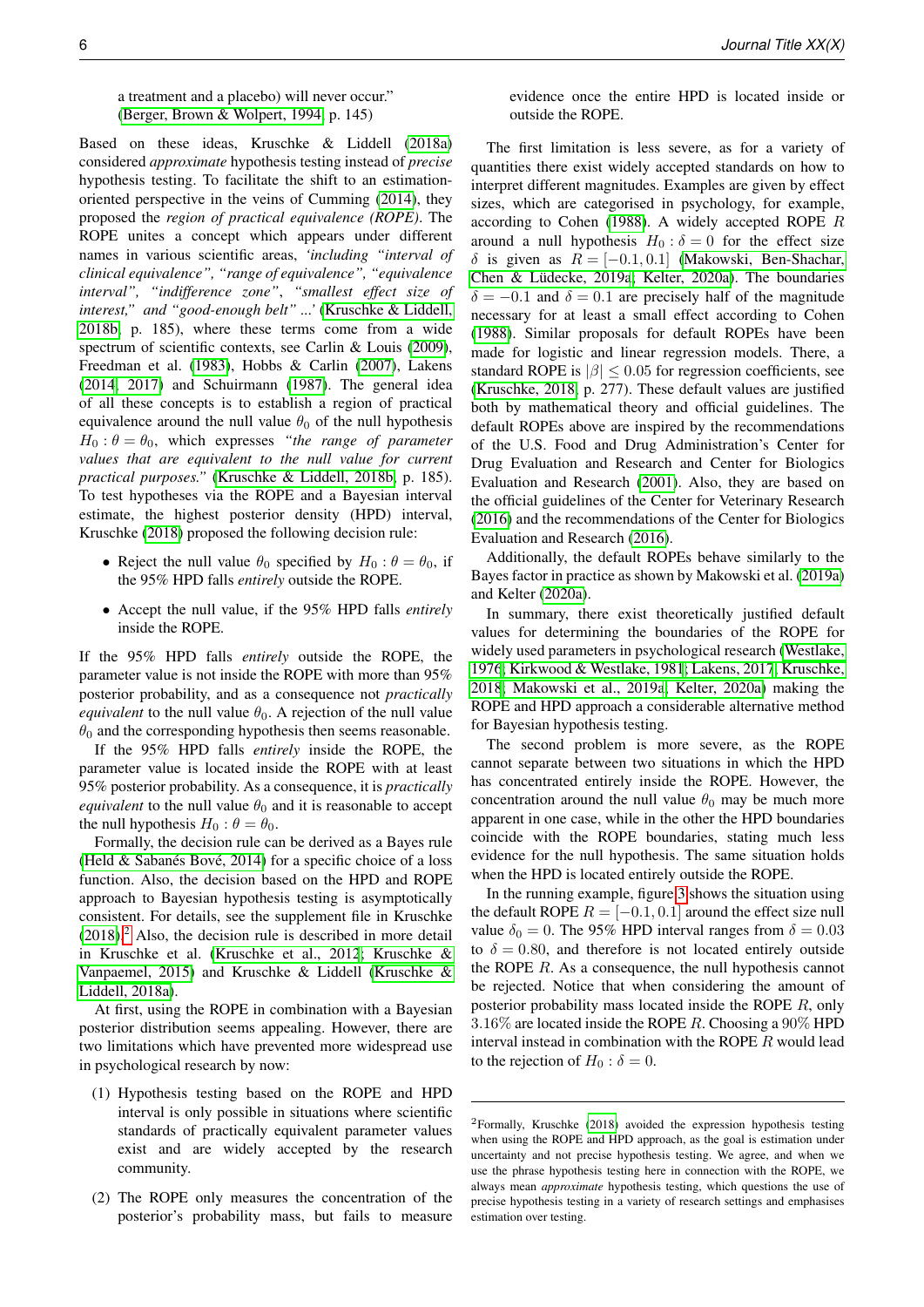#### a treatment and a placebo) will never occur." [\(Berger, Brown & Wolpert, 1994,](#page-11-11) p. 145)

Based on these ideas, Kruschke & Liddell [\(2018a\)](#page-13-23) considered *approximate* hypothesis testing instead of *precise* hypothesis testing. To facilitate the shift to an estimationoriented perspective in the veins of Cumming [\(2014\)](#page-12-29), they proposed the *region of practical equivalence (ROPE)*. The ROPE unites a concept which appears under different names in various scientific areas, *'including "interval of clinical equivalence", "range of equivalence", "equivalence interval", "indifference zone"*, *"smallest effect size of interest," and "good-enough belt" ...'* [\(Kruschke & Liddell,](#page-13-3) [2018b,](#page-13-3) p. 185), where these terms come from a wide spectrum of scientific contexts, see Carlin & Louis [\(2009\)](#page-11-12), Freedman et al. [\(1983\)](#page-12-32), Hobbs & Carlin [\(2007\)](#page-12-33), Lakens [\(2014](#page-13-24)[, 2017\)](#page-13-25) and Schuirmann [\(1987\)](#page-13-26). The general idea of all these concepts is to establish a region of practical equivalence around the null value  $\theta_0$  of the null hypothesis  $H_0$ :  $\theta = \theta_0$ , which expresses "the range of parameter *values that are equivalent to the null value for current practical purposes."* [\(Kruschke & Liddell, 2018b,](#page-13-3) p. 185). To test hypotheses via the ROPE and a Bayesian interval estimate, the highest posterior density (HPD) interval, Kruschke [\(2018\)](#page-12-16) proposed the following decision rule:

- Reject the null value  $\theta_0$  specified by  $H_0$ :  $\theta = \theta_0$ , if the 95% HPD falls *entirely* outside the ROPE.
- Accept the null value, if the 95% HPD falls *entirely* inside the ROPE.

If the 95% HPD falls *entirely* outside the ROPE, the parameter value is not inside the ROPE with more than 95% posterior probability, and as a consequence not *practically equivalent* to the null value  $\theta_0$ . A rejection of the null value  $\theta_0$  and the corresponding hypothesis then seems reasonable.

If the 95% HPD falls *entirely* inside the ROPE, the parameter value is located inside the ROPE with at least 95% posterior probability. As a consequence, it is *practically equivalent* to the null value  $\theta_0$  and it is reasonable to accept the null hypothesis  $H_0$ :  $\theta = \theta_0$ .

Formally, the decision rule can be derived as a Bayes rule (Held  $&$  Sabanés Bové, 2014) for a specific choice of a loss function. Also, the decision based on the HPD and ROPE approach to Bayesian hypothesis testing is asymptotically consistent. For details, see the supplement file in Kruschke  $(2018).<sup>2</sup>$  $(2018).<sup>2</sup>$  $(2018).<sup>2</sup>$  $(2018).<sup>2</sup>$  Also, the decision rule is described in more detail in Kruschke et al. [\(Kruschke et al., 2012](#page-12-34)[; Kruschke &](#page-13-27) [Vanpaemel, 2015\)](#page-13-27) and Kruschke & Liddell [\(Kruschke &](#page-13-23) [Liddell, 2018a\)](#page-13-23).

At first, using the ROPE in combination with a Bayesian posterior distribution seems appealing. However, there are two limitations which have prevented more widespread use in psychological research by now:

- (1) Hypothesis testing based on the ROPE and HPD interval is only possible in situations where scientific standards of practically equivalent parameter values exist and are widely accepted by the research community.
- (2) The ROPE only measures the concentration of the posterior's probability mass, but fails to measure

evidence once the entire HPD is located inside or outside the ROPE.

The first limitation is less severe, as for a variety of quantities there exist widely accepted standards on how to interpret different magnitudes. Examples are given by effect sizes, which are categorised in psychology, for example, according to Cohen [\(1988\)](#page-11-7). A widely accepted ROPE  $R$ around a null hypothesis  $H_0$ :  $\delta = 0$  for the effect size δ is given as  $R = [-0.1, 0.1]$  [\(Makowski, Ben-Shachar,](#page-13-13) Chen & Lüdecke, 2019a[; Kelter, 2020a\)](#page-12-8). The boundaries  $\delta = -0.1$  and  $\delta = 0.1$  are precisely half of the magnitude necessary for at least a small effect according to Cohen [\(1988\)](#page-11-7). Similar proposals for default ROPEs have been made for logistic and linear regression models. There, a standard ROPE is  $|\beta| \leq 0.05$  for regression coefficients, see [\(Kruschke, 2018,](#page-12-16) p. 277). These default values are justified both by mathematical theory and official guidelines. The default ROPEs above are inspired by the recommendations of the U.S. Food and Drug Administration's Center for Drug Evaluation and Research and Center for Biologics Evaluation and Research [\(2001\)](#page-13-28). Also, they are based on the official guidelines of the Center for Veterinary Research [\(2016\)](#page-14-7) and the recommendations of the Center for Biologics Evaluation and Research [\(2016\)](#page-13-29).

Additionally, the default ROPEs behave similarly to the Bayes factor in practice as shown by Makowski et al. [\(2019a\)](#page-13-13) and Kelter [\(2020a\)](#page-12-8).

In summary, there exist theoretically justified default values for determining the boundaries of the ROPE for widely used parameters in psychological research [\(Westlake,](#page-14-5) [1976](#page-14-5)[; Kirkwood & Westlake, 1981](#page-12-15)[; Lakens, 2017](#page-13-25)[; Kruschke,](#page-12-16) [2018](#page-12-16)[; Makowski et al., 2019a](#page-13-13)[; Kelter, 2020a\)](#page-12-8) making the ROPE and HPD approach a considerable alternative method for Bayesian hypothesis testing.

The second problem is more severe, as the ROPE cannot separate between two situations in which the HPD has concentrated entirely inside the ROPE. However, the concentration around the null value  $\theta_0$  may be much more apparent in one case, while in the other the HPD boundaries coincide with the ROPE boundaries, stating much less evidence for the null hypothesis. The same situation holds when the HPD is located entirely outside the ROPE.

In the running example, figure [3](#page-6-0) shows the situation using the default ROPE  $R = [-0.1, 0.1]$  around the effect size null value  $\delta_0 = 0$ . The 95% HPD interval ranges from  $\delta = 0.03$ to  $\delta = 0.80$ , and therefore is not located entirely outside the ROPE  $R$ . As a consequence, the null hypothesis cannot be rejected. Notice that when considering the amount of posterior probability mass located inside the ROPE R, only  $3.16\%$  are located inside the ROPE R. Choosing a  $90\%$  HPD interval instead in combination with the ROPE R would lead to the rejection of  $H_0$ :  $\delta = 0$ .

<span id="page-5-0"></span><sup>2</sup>Formally, Kruschke [\(2018\)](#page-12-16) avoided the expression hypothesis testing when using the ROPE and HPD approach, as the goal is estimation under uncertainty and not precise hypothesis testing. We agree, and when we use the phrase hypothesis testing here in connection with the ROPE, we always mean *approximate* hypothesis testing, which questions the use of precise hypothesis testing in a variety of research settings and emphasises estimation over testing.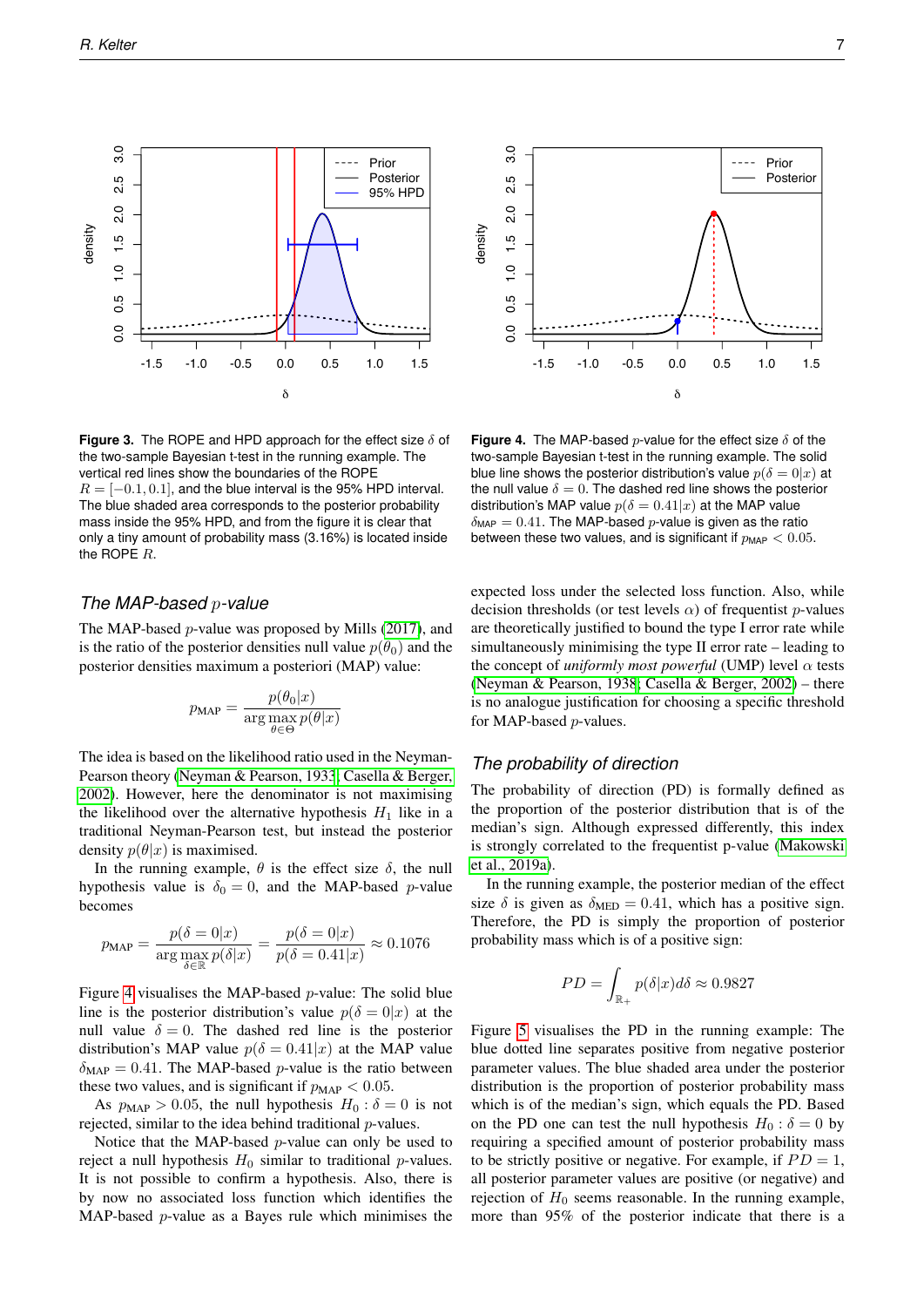0.0 0.5 1.0 1.5 2.0 2.5 3.0

 $\frac{1}{5}$  $\frac{0}{1}$ 

 $0.5$ 

 $\frac{0}{2}$ 

<span id="page-6-0"></span> $3.0$ 

 $2.5$ 

 $\frac{0}{2}$ 

density

**Figure 3.** The ROPE and HPD approach for the effect size  $\delta$  of the two-sample Bayesian t-test in the running example. The vertical red lines show the boundaries of the ROPE  $R = [-0.1, 0.1]$ , and the blue interval is the 95% HPD interval. The blue shaded area corresponds to the posterior probability mass inside the 95% HPD, and from the figure it is clear that only a tiny amount of probability mass (3.16%) is located inside the ROPE R.

δ

# *The MAP-based* p*-value*

The MAP-based p-value was proposed by Mills [\(2017\)](#page-13-14), and is the ratio of the posterior densities null value  $p(\theta_0)$  and the posterior densities maximum a posteriori (MAP) value:

$$
p_{\text{MAP}} = \frac{p(\theta_0|x)}{\arg \max_{\theta \in \Theta} p(\theta|x)}
$$

The idea is based on the likelihood ratio used in the Neyman-Pearson theory [\(Neyman & Pearson, 1933](#page-13-1)[; Casella & Berger,](#page-11-8) [2002\)](#page-11-8). However, here the denominator is not maximising the likelihood over the alternative hypothesis  $H_1$  like in a traditional Neyman-Pearson test, but instead the posterior density  $p(\theta|x)$  is maximised.

In the running example,  $\theta$  is the effect size  $\delta$ , the null hypothesis value is  $\delta_0 = 0$ , and the MAP-based p-value becomes

$$
p_{\text{MAP}} = \frac{p(\delta = 0|x)}{\arg \max_{\delta \in \mathbb{R}} p(\delta|x)} = \frac{p(\delta = 0|x)}{p(\delta = 0.41|x)} \approx 0.1076
$$

Figure [4](#page-6-1) visualises the MAP-based p-value: The solid blue line is the posterior distribution's value  $p(\delta = 0|x)$  at the null value  $\delta = 0$ . The dashed red line is the posterior distribution's MAP value  $p(\delta = 0.41|x)$  at the MAP value  $\delta_{\text{MAP}} = 0.41$ . The MAP-based *p*-value is the ratio between these two values, and is significant if  $p_{MAP} < 0.05$ .

As  $p_{MAP} > 0.05$ , the null hypothesis  $H_0 : \delta = 0$  is not rejected, similar to the idea behind traditional p-values.

Notice that the MAP-based p-value can only be used to reject a null hypothesis  $H_0$  similar to traditional p-values. It is not possible to confirm a hypothesis. Also, there is by now no associated loss function which identifies the

**Figure 4.** The MAP-based  $p$ -value for the effect size  $\delta$  of the two-sample Bayesian t-test in the running example. The solid blue line shows the posterior distribution's value  $p(\delta = 0|x)$  at the null value  $\delta = 0$ . The dashed red line shows the posterior distribution's MAP value  $p(\delta = 0.41|x)$  at the MAP value  $\delta_{\text{MAP}} = 0.41$ . The MAP-based *p*-value is given as the ratio between these two values, and is significant if  $p_{\text{MAP}} < 0.05$ .

expected loss under the selected loss function. Also, while decision thresholds (or test levels  $\alpha$ ) of frequentist p-values are theoretically justified to bound the type I error rate while simultaneously minimising the type II error rate – leading to the concept of *uniformly most powerful* (UMP) level  $\alpha$  tests [\(Neyman & Pearson, 1938](#page-13-30)[; Casella & Berger, 2002\)](#page-11-8) – there is no analogue justification for choosing a specific threshold for MAP-based p-values.

#### *The probability of direction*

The probability of direction (PD) is formally defined as the proportion of the posterior distribution that is of the median's sign. Although expressed differently, this index is strongly correlated to the frequentist p-value [\(Makowski](#page-13-13) [et al., 2019a\)](#page-13-13).

In the running example, the posterior median of the effect size  $\delta$  is given as  $\delta_{\text{MED}} = 0.41$ , which has a positive sign. Therefore, the PD is simply the proportion of posterior probability mass which is of a positive sign:

$$
PD = \int_{\mathbb{R}_+} p(\delta | x) d\delta \approx 0.9827
$$

MAP-based p-value as a Bayes rule which minimises the -1.5 -1.0 -0.5 0.0 0.5 1.0 1.5 Figure [5](#page-7-0) visualises the PD in the running example: The blue dotted line separates positive from negative posterior parameter values. The blue shaded area under the posterior distribution is the proportion of posterior probability mass which is of the median's sign, which equals the PD. Based on the PD one can test the null hypothesis  $H_0$ :  $\delta = 0$  by requiring a specified amount of posterior probability mass to be strictly positive or negative. For example, if  $PD = 1$ , all posterior parameter values are positive (or negative) and rejection of  $H_0$  seems reasonable. In the running example, more than 95% of the posterior indicate that there is a



<span id="page-6-1"></span>Prior **Posterior**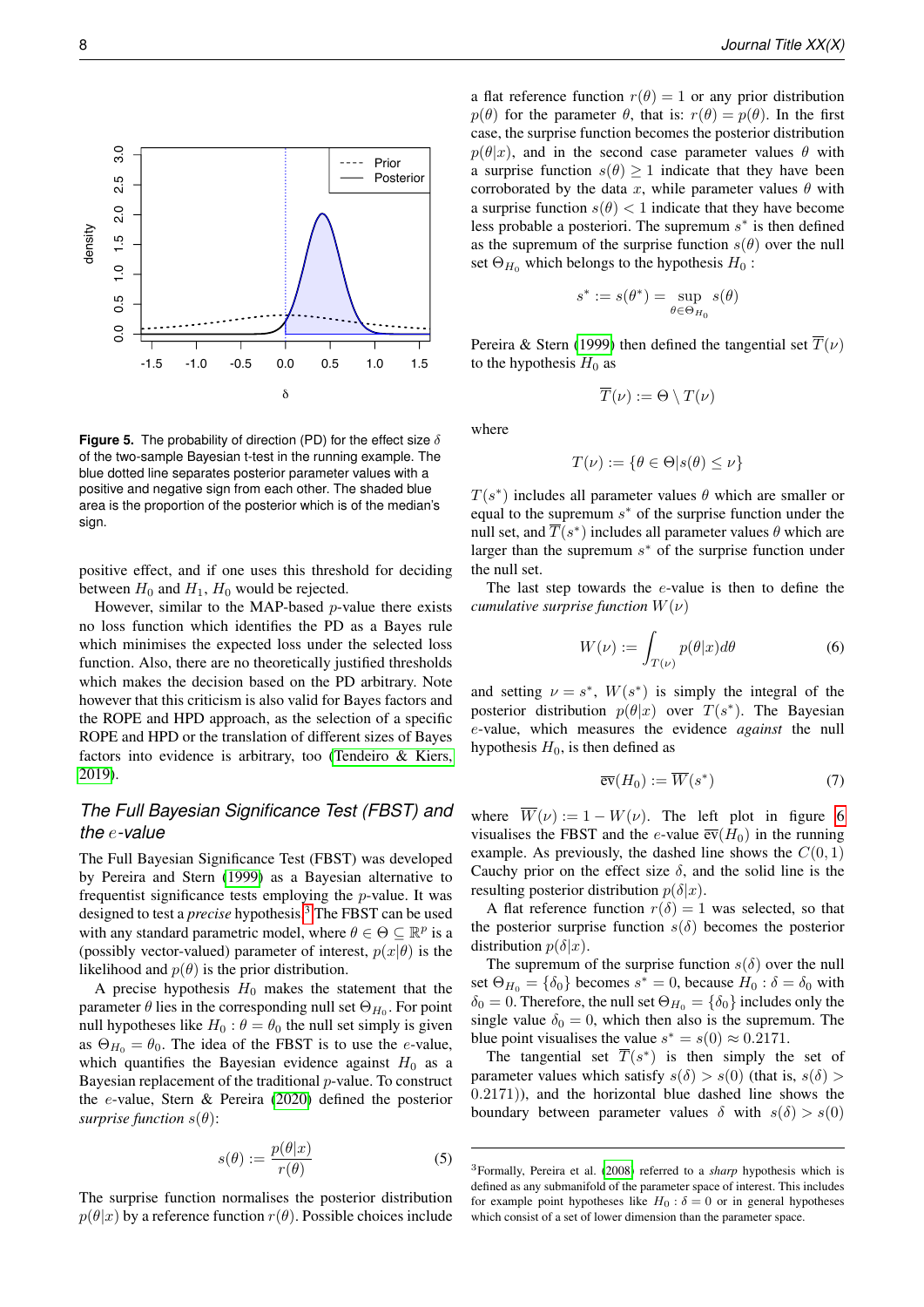<span id="page-7-0"></span>

**Figure 5.** The probability of direction (PD) for the effect size  $\delta$ of the two-sample Bayesian t-test in the running example. The blue dotted line separates posterior parameter values with a positive and negative sign from each other. The shaded blue area is the proportion of the posterior which is of the median's sign.

positive effect, and if one uses this threshold for deciding between  $H_0$  and  $H_1$ ,  $H_0$  would be rejected.

However, similar to the MAP-based  $p$ -value there exists no loss function which identifies the PD as a Bayes rule which minimises the expected loss under the selected loss function. Also, there are no theoretically justified thresholds which makes the decision based on the PD arbitrary. Note however that this criticism is also valid for Bayes factors and the ROPE and HPD approach, as the selection of a specific ROPE and HPD or the translation of different sizes of Bayes factors into evidence is arbitrary, too [\(Tendeiro & Kiers,](#page-13-7) [2019\)](#page-13-7).

# *The Full Bayesian Significance Test (FBST) and the* e*-value*

The Full Bayesian Significance Test (FBST) was developed by Pereira and Stern [\(1999\)](#page-13-15) as a Bayesian alternative to frequentist significance tests employing the p-value. It was designed to test a *precise* hypothesis.<sup>[3](#page-7-1)</sup> The FBST can be used with any standard parametric model, where  $\theta \in \Theta \subseteq \mathbb{R}^p$  is a (possibly vector-valued) parameter of interest,  $p(x|\theta)$  is the likelihood and  $p(\theta)$  is the prior distribution.

A precise hypothesis  $H_0$  makes the statement that the parameter  $\theta$  lies in the corresponding null set  $\Theta_{H_0}$ . For point null hypotheses like  $H_0$ :  $\theta = \theta_0$  the null set simply is given as  $\Theta_{H_0} = \theta_0$ . The idea of the FBST is to use the e-value, which quantifies the Bayesian evidence against  $H_0$  as a Bayesian replacement of the traditional p-value. To construct the e-value, Stern & Pereira [\(2020\)](#page-13-17) defined the posterior *surprise function*  $s(\theta)$ :

$$
s(\theta) := \frac{p(\theta|x)}{r(\theta)}\tag{5}
$$

The surprise function normalises the posterior distribution  $p(\theta|x)$  by a reference function  $r(\theta)$ . Possible choices include

a flat reference function  $r(\theta) = 1$  or any prior distribution  $p(\theta)$  for the parameter  $\theta$ , that is:  $r(\theta) = p(\theta)$ . In the first case, the surprise function becomes the posterior distribution  $p(\theta|x)$ , and in the second case parameter values  $\theta$  with a surprise function  $s(\theta) \geq 1$  indicate that they have been corroborated by the data x, while parameter values  $\theta$  with a surprise function  $s(\theta) < 1$  indicate that they have become less probable a posteriori. The supremum  $s^*$  is then defined as the supremum of the surprise function  $s(\theta)$  over the null set  $\Theta_{H_0}$  which belongs to the hypothesis  $H_0$ :

$$
s^* := s(\theta^*) = \sup_{\theta \in \Theta_{H_0}} s(\theta)
$$

Pereira & Stern [\(1999\)](#page-13-15) then defined the tangential set  $\overline{T}(\nu)$ to the hypothesis  $H_0$  as

$$
\overline{T}(\nu) := \Theta \setminus T(\nu)
$$

where

$$
T(\nu) := \{ \theta \in \Theta | s(\theta) \le \nu \}
$$

 $T(s^*)$  includes all parameter values  $\theta$  which are smaller or equal to the supremum  $s^*$  of the surprise function under the null set, and  $\overline{T}(s^*)$  includes all parameter values  $\theta$  which are larger than the supremum  $s^*$  of the surprise function under the null set.

The last step towards the e-value is then to define the *cumulative surprise function*  $W(\nu)$ 

$$
W(\nu) := \int_{T(\nu)} p(\theta|x) d\theta \tag{6}
$$

and setting  $\nu = s^*$ ,  $W(s^*)$  is simply the integral of the posterior distribution  $p(\theta|x)$  over  $T(s^*)$ . The Bayesian e-value, which measures the evidence *against* the null hypothesis  $H_0$ , is then defined as

$$
\overline{\operatorname{ev}}(H_0) := \overline{W}(s^*)\tag{7}
$$

where  $\overline{W}(\nu) := 1 - W(\nu)$ . The left plot in figure [6](#page-8-0) visualises the FBST and the e-value  $\overline{ev}(H_0)$  in the running example. As previously, the dashed line shows the  $C(0, 1)$ Cauchy prior on the effect size  $\delta$ , and the solid line is the resulting posterior distribution  $p(\delta|x)$ .

A flat reference function  $r(\delta) = 1$  was selected, so that the posterior surprise function  $s(\delta)$  becomes the posterior distribution  $p(\delta|x)$ .

The supremum of the surprise function  $s(\delta)$  over the null set  $\Theta_{H_0} = {\delta_0}$  becomes  $s^* = 0$ , because  $H_0 : \delta = \delta_0$  with  $\delta_0 = 0$ . Therefore, the null set  $\Theta_{H_0} = {\delta_0}$  includes only the single value  $\delta_0 = 0$ , which then also is the supremum. The blue point visualises the value  $s^* = s(0) \approx 0.2171$ .

The tangential set  $\overline{T}(s^*)$  is then simply the set of parameter values which satisfy  $s(\delta) > s(0)$  (that is,  $s(\delta) >$ 0.2171)), and the horizontal blue dashed line shows the boundary between parameter values  $\delta$  with  $s(\delta) > s(0)$ 

<span id="page-7-1"></span><sup>3</sup>Formally, Pereira et al. [\(2008\)](#page-13-16) referred to a *sharp* hypothesis which is defined as any submanifold of the parameter space of interest. This includes for example point hypotheses like  $H_0$ :  $\delta = 0$  or in general hypotheses which consist of a set of lower dimension than the parameter space.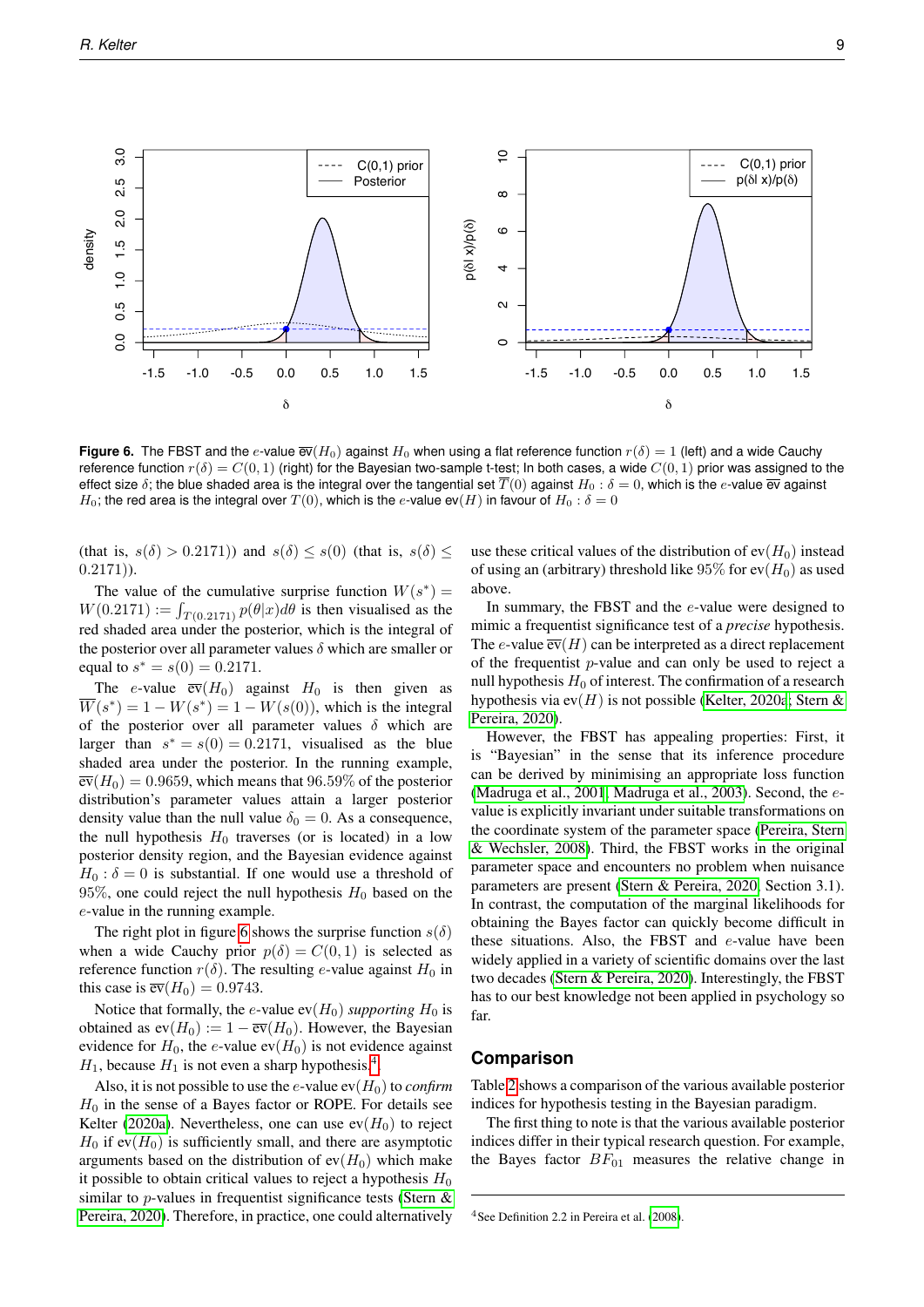<span id="page-8-0"></span>

**Figure 6.** The FBST and the e-value  $\overline{ev}(H_0)$  against  $H_0$  when using a flat reference function  $r(\delta) = 1$  (left) and a wide Cauchy reference function  $r(\delta) = C(0, 1)$  (right) for the Bayesian two-sample t-test; In both cases, a wide  $C(0, 1)$  prior was assigned to the effect size  $\delta$ ; the blue shaded area is the integral over the tangential set  $\overline{T}(0)$  against  $H_0 : \delta = 0$ , which is the e-value  $\overline{ev}$  against  $H_0$ ; the red area is the integral over  $T(0)$ , which is the e-value ev(H) in favour of  $H_0$ :  $\delta = 0$ 

(that is,  $s(\delta) > 0.2171$ )) and  $s(\delta) \leq s(0)$  (that is,  $s(\delta) \leq$  $(0.2171)$ ).

The value of the cumulative surprise function  $W(s^*) =$  $W(0.2171) := \int_{T(0.2171)} p(\theta|x) d\theta$  is then visualised as the red shaded area under the posterior, which is the integral of the posterior over all parameter values  $\delta$  which are smaller or equal to  $s^* = s(0) = 0.2171$ .

The e-value  $\overline{ev}(H_0)$  against  $H_0$  is then given as  $\overline{W}(s^*) = 1 - W(s^*) = 1 - W(s(0))$ , which is the integral of the posterior over all parameter values  $\delta$  which are larger than  $s^* = s(0) = 0.2171$ , visualised as the blue shaded area under the posterior. In the running example,  $\overline{ev}(H_0) = 0.9659$ , which means that 96.59% of the posterior distribution's parameter values attain a larger posterior density value than the null value  $\delta_0 = 0$ . As a consequence, the null hypothesis  $H_0$  traverses (or is located) in a low posterior density region, and the Bayesian evidence against  $H_0$ :  $\delta = 0$  is substantial. If one would use a threshold of 95%, one could reject the null hypothesis  $H_0$  based on the e-value in the running example.

The right plot in figure [6](#page-8-0) shows the surprise function  $s(\delta)$ when a wide Cauchy prior  $p(\delta) = C(0, 1)$  is selected as reference function  $r(\delta)$ . The resulting e-value against  $H_0$  in this case is  $\overline{\text{ev}}(H_0) = 0.9743$ .

Notice that formally, the *e*-value  $ev(H_0)$  *supporting*  $H_0$  is obtained as  $ev(H_0) := 1 - \overline{ev}(H_0)$ . However, the Bayesian evidence for  $H_0$ , the e-value ev( $H_0$ ) is not evidence against  $H_1$ , because  $H_1$  is not even a sharp hypothesis.<sup>[4](#page-8-1)</sup>.

Also, it is not possible to use the  $e$ -value  $ev(H_0)$  to *confirm*  $H_0$  in the sense of a Bayes factor or ROPE. For details see Kelter [\(2020a\)](#page-12-8). Nevertheless, one can use  $ev(H_0)$  to reject  $H_0$  if ev( $H_0$ ) is sufficiently small, and there are asymptotic arguments based on the distribution of  $ev(H_0)$  which make it possible to obtain critical values to reject a hypothesis  $H_0$ similar to  $p$ -values in frequentist significance tests (Stern  $\&$ [Pereira, 2020\)](#page-13-17). Therefore, in practice, one could alternatively use these critical values of the distribution of  $ev(H_0)$  instead of using an (arbitrary) threshold like 95% for  $ev(H_0)$  as used above.

In summary, the FBST and the e-value were designed to mimic a frequentist significance test of a *precise* hypothesis. The e-value  $\overline{ev}(H)$  can be interpreted as a direct replacement of the frequentist  $p$ -value and can only be used to reject a null hypothesis  $H_0$  of interest. The confirmation of a research hypothesis via ev $(H)$  is not possible [\(Kelter, 2020a](#page-12-8)[; Stern &](#page-13-17) [Pereira, 2020\)](#page-13-17).

However, the FBST has appealing properties: First, it is "Bayesian" in the sense that its inference procedure can be derived by minimising an appropriate loss function [\(Madruga et al., 2001](#page-13-31)[; Madruga et al., 2003\)](#page-13-32). Second, the evalue is explicitly invariant under suitable transformations on the coordinate system of the parameter space [\(Pereira, Stern](#page-13-16) [& Wechsler, 2008\)](#page-13-16). Third, the FBST works in the original parameter space and encounters no problem when nuisance parameters are present [\(Stern & Pereira, 2020,](#page-13-17) Section 3.1). In contrast, the computation of the marginal likelihoods for obtaining the Bayes factor can quickly become difficult in these situations. Also, the FBST and e-value have been widely applied in a variety of scientific domains over the last two decades [\(Stern & Pereira, 2020\)](#page-13-17). Interestingly, the FBST has to our best knowledge not been applied in psychology so far.

# **Comparison**

Table [2](#page-9-0) shows a comparison of the various available posterior indices for hypothesis testing in the Bayesian paradigm.

The first thing to note is that the various available posterior indices differ in their typical research question. For example, the Bayes factor  $BF_{01}$  measures the relative change in

<span id="page-8-1"></span><sup>4</sup>See Definition 2.2 in Pereira et al. [\(2008\)](#page-13-16).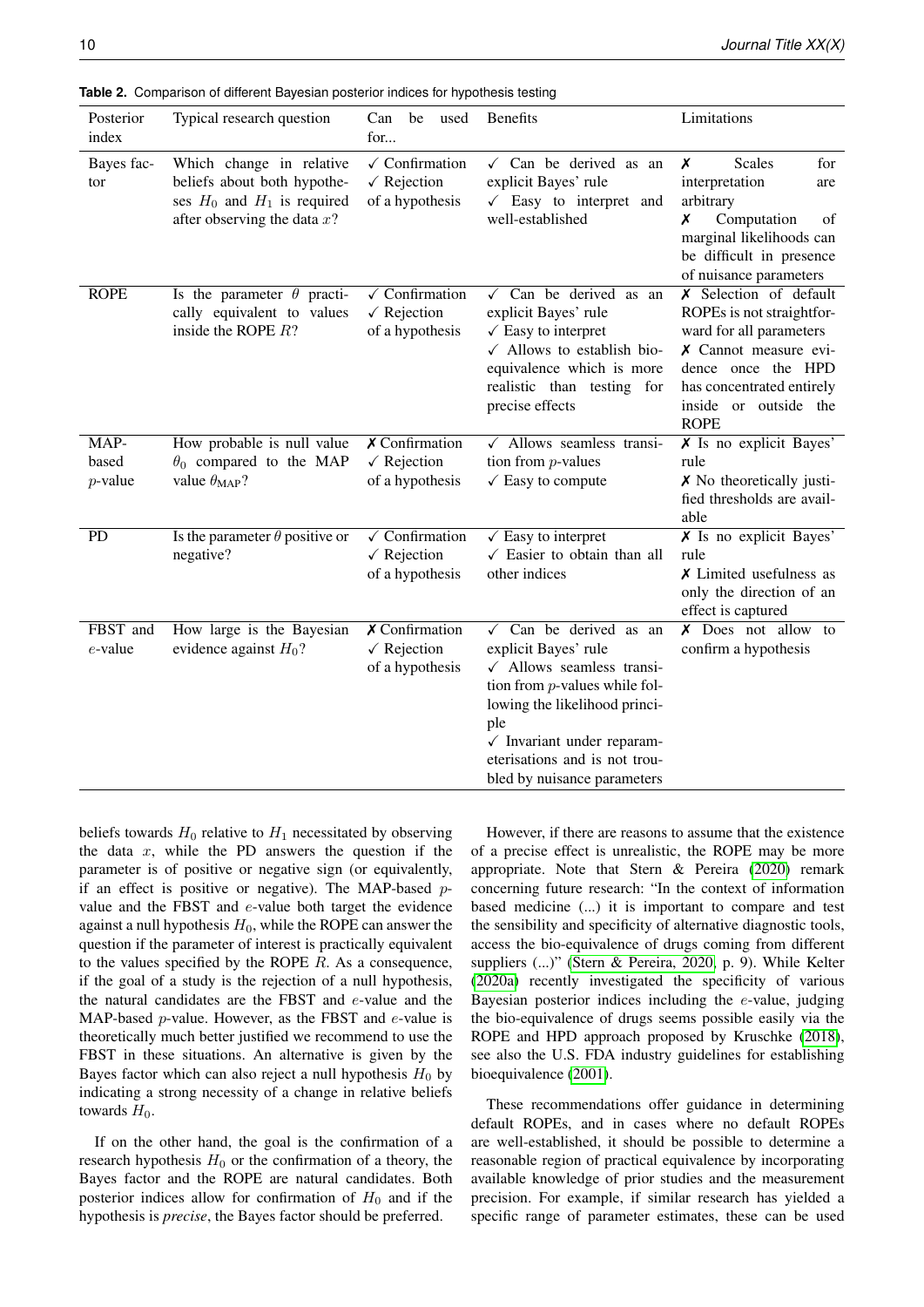| Posterior<br>index          | Typical research question                                                                                                    | Can be<br>used<br>for                                                        | Benefits                                                                                                                                                                                                                                                                             | Limitations                                                                                                                                                                                        |
|-----------------------------|------------------------------------------------------------------------------------------------------------------------------|------------------------------------------------------------------------------|--------------------------------------------------------------------------------------------------------------------------------------------------------------------------------------------------------------------------------------------------------------------------------------|----------------------------------------------------------------------------------------------------------------------------------------------------------------------------------------------------|
| Bayes fac-<br>tor           | Which change in relative<br>beliefs about both hypothe-<br>ses $H_0$ and $H_1$ is required<br>after observing the data $x$ ? | $\checkmark$ Confirmation<br>$\sqrt{\text{Rejection}}$<br>of a hypothesis    | $\checkmark$ Can be derived as an<br>explicit Bayes' rule<br>$\checkmark$ Easy to interpret and<br>well-established                                                                                                                                                                  | X<br><b>Scales</b><br>for<br>interpretation<br>are<br>arbitrary<br>Computation<br>Х<br>of<br>marginal likelihoods can<br>be difficult in presence<br>of nuisance parameters                        |
| <b>ROPE</b>                 | Is the parameter $\theta$ practi-<br>cally equivalent to values<br>inside the ROPE $R$ ?                                     | $\sqrt{\text{Confirmation}}$<br>$\sqrt{\text{Rejection}}$<br>of a hypothesis | Can be derived as an<br>$\checkmark$<br>explicit Bayes' rule<br>$\sqrt{\ }$ Easy to interpret<br>$\checkmark$ Allows to establish bio-<br>equivalence which is more<br>realistic than testing for<br>precise effects                                                                 | X Selection of default<br>ROPEs is not straightfor-<br>ward for all parameters<br>X Cannot measure evi-<br>dence once the HPD<br>has concentrated entirely<br>inside or outside the<br><b>ROPE</b> |
| MAP-<br>based<br>$p$ -value | How probable is null value<br>$\theta_0$ compared to the MAP<br>value $\theta_{MAP}$ ?                                       | $X$ Confirmation<br>$\sqrt{\text{Rejection}}$<br>of a hypothesis             | $\sqrt{\phantom{a}}$ Allows seamless transi-<br>tion from $p$ -values<br>$\checkmark$ Easy to compute                                                                                                                                                                                | $X$ Is no explicit Bayes'<br>rule<br>$\boldsymbol{\times}$ No theoretically justi-<br>fied thresholds are avail-<br>able                                                                           |
| <b>PD</b>                   | Is the parameter $\theta$ positive or<br>negative?                                                                           | $\checkmark$ Confirmation<br>$\sqrt{\text{Rejection}}$<br>of a hypothesis    | $\sqrt{\ }$ Easy to interpret<br>$\checkmark$ Easier to obtain than all<br>other indices                                                                                                                                                                                             | $X$ Is no explicit Bayes'<br>rule<br>$\chi$ Limited usefulness as<br>only the direction of an<br>effect is captured                                                                                |
| FBST and<br>e-value         | How large is the Bayesian<br>evidence against $H_0$ ?                                                                        | $X$ Confirmation<br>$\sqrt{\text{Rejection}}$<br>of a hypothesis             | $\sqrt{C}$ Can be derived as an<br>explicit Bayes' rule<br>$\checkmark$ Allows seamless transi-<br>tion from $p$ -values while fol-<br>lowing the likelihood princi-<br>ple<br>$\checkmark$ Invariant under reparam-<br>eterisations and is not trou-<br>bled by nuisance parameters | $X$ Does not allow to<br>confirm a hypothesis                                                                                                                                                      |

<span id="page-9-0"></span>**Table 2.** Comparison of different Bayesian posterior indices for hypothesis testing

beliefs towards  $H_0$  relative to  $H_1$  necessitated by observing the data  $x$ , while the PD answers the question if the parameter is of positive or negative sign (or equivalently, if an effect is positive or negative). The MAP-based  $p$ value and the FBST and e-value both target the evidence against a null hypothesis  $H_0$ , while the ROPE can answer the question if the parameter of interest is practically equivalent to the values specified by the ROPE  $R$ . As a consequence, if the goal of a study is the rejection of a null hypothesis, the natural candidates are the FBST and e-value and the MAP-based  $p$ -value. However, as the FBST and  $e$ -value is theoretically much better justified we recommend to use the FBST in these situations. An alternative is given by the Bayes factor which can also reject a null hypothesis  $H_0$  by indicating a strong necessity of a change in relative beliefs towards  $H_0$ .

If on the other hand, the goal is the confirmation of a research hypothesis  $H_0$  or the confirmation of a theory, the Bayes factor and the ROPE are natural candidates. Both posterior indices allow for confirmation of  $H_0$  and if the hypothesis is *precise*, the Bayes factor should be preferred.

However, if there are reasons to assume that the existence of a precise effect is unrealistic, the ROPE may be more appropriate. Note that Stern & Pereira [\(2020\)](#page-13-17) remark concerning future research: "In the context of information based medicine (...) it is important to compare and test the sensibility and specificity of alternative diagnostic tools, access the bio-equivalence of drugs coming from different suppliers (...)" [\(Stern & Pereira, 2020,](#page-13-17) p. 9). While Kelter [\(2020a\)](#page-12-8) recently investigated the specificity of various Bayesian posterior indices including the  $e$ -value, judging the bio-equivalence of drugs seems possible easily via the ROPE and HPD approach proposed by Kruschke [\(2018\)](#page-12-16), see also the U.S. FDA industry guidelines for establishing bioequivalence [\(2001\)](#page-13-28).

These recommendations offer guidance in determining default ROPEs, and in cases where no default ROPEs are well-established, it should be possible to determine a reasonable region of practical equivalence by incorporating available knowledge of prior studies and the measurement precision. For example, if similar research has yielded a specific range of parameter estimates, these can be used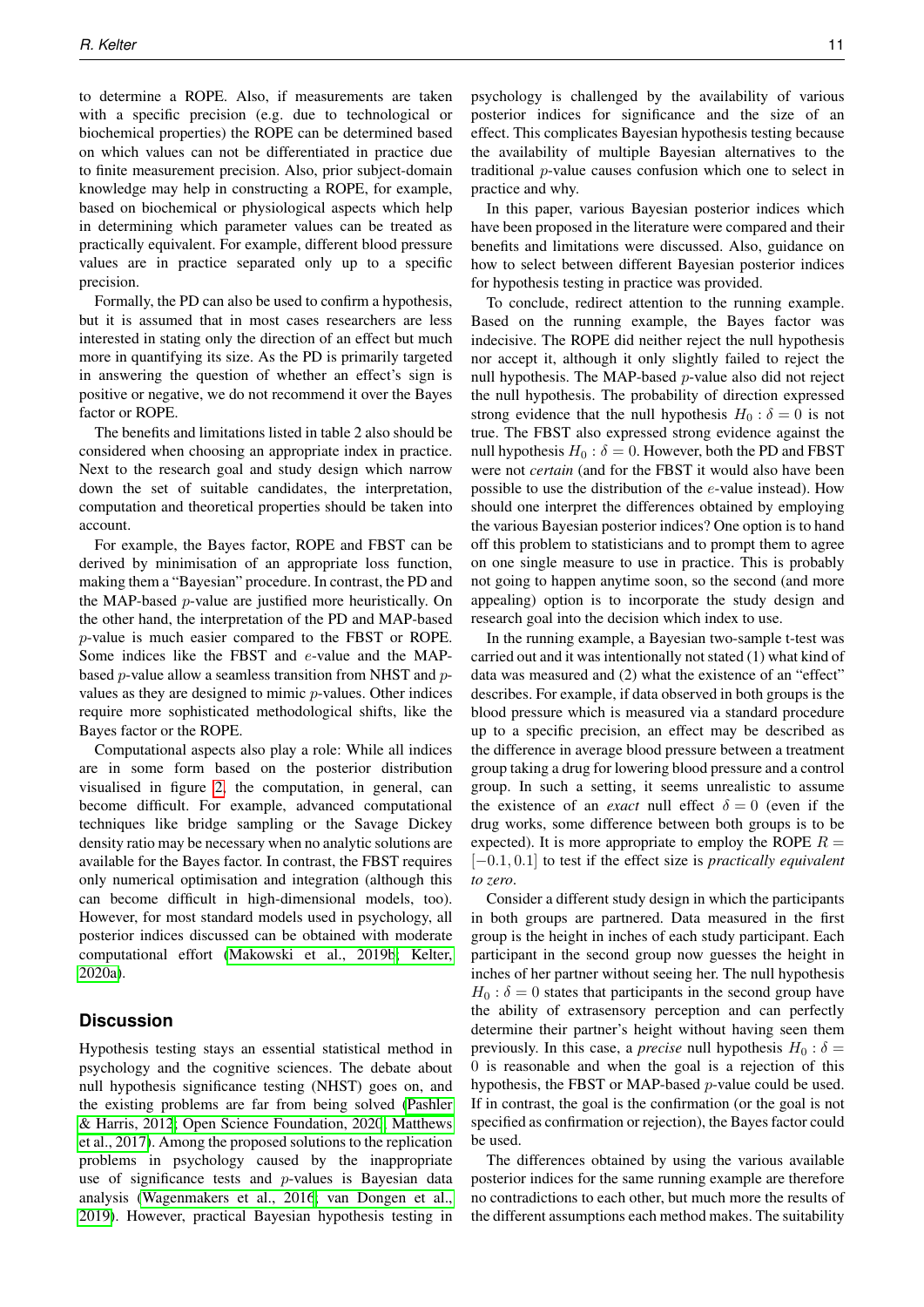to determine a ROPE. Also, if measurements are taken with a specific precision (e.g. due to technological or biochemical properties) the ROPE can be determined based on which values can not be differentiated in practice due to finite measurement precision. Also, prior subject-domain knowledge may help in constructing a ROPE, for example, based on biochemical or physiological aspects which help in determining which parameter values can be treated as practically equivalent. For example, different blood pressure values are in practice separated only up to a specific precision.

Formally, the PD can also be used to confirm a hypothesis, but it is assumed that in most cases researchers are less interested in stating only the direction of an effect but much more in quantifying its size. As the PD is primarily targeted in answering the question of whether an effect's sign is positive or negative, we do not recommend it over the Bayes factor or ROPE.

The benefits and limitations listed in table 2 also should be considered when choosing an appropriate index in practice. Next to the research goal and study design which narrow down the set of suitable candidates, the interpretation, computation and theoretical properties should be taken into account.

For example, the Bayes factor, ROPE and FBST can be derived by minimisation of an appropriate loss function, making them a "Bayesian" procedure. In contrast, the PD and the MAP-based  $p$ -value are justified more heuristically. On the other hand, the interpretation of the PD and MAP-based p-value is much easier compared to the FBST or ROPE. Some indices like the FBST and e-value and the MAPbased p-value allow a seamless transition from NHST and pvalues as they are designed to mimic p-values. Other indices require more sophisticated methodological shifts, like the Bayes factor or the ROPE.

Computational aspects also play a role: While all indices are in some form based on the posterior distribution visualised in figure [2,](#page-3-0) the computation, in general, can become difficult. For example, advanced computational techniques like bridge sampling or the Savage Dickey density ratio may be necessary when no analytic solutions are available for the Bayes factor. In contrast, the FBST requires only numerical optimisation and integration (although this can become difficult in high-dimensional models, too). However, for most standard models used in psychology, all posterior indices discussed can be obtained with moderate computational effort [\(Makowski et al., 2019b](#page-13-33)[; Kelter,](#page-12-8) [2020a\)](#page-12-8).

#### **Discussion**

Hypothesis testing stays an essential statistical method in psychology and the cognitive sciences. The debate about null hypothesis significance testing (NHST) goes on, and the existing problems are far from being solved [\(Pashler](#page-13-34) [& Harris, 2012](#page-13-34)[; Open Science Foundation, 2020](#page-13-35)[; Matthews](#page-13-36) [et al., 2017\)](#page-13-36). Among the proposed solutions to the replication problems in psychology caused by the inappropriate use of significance tests and  $p$ -values is Bayesian data analysis [\(Wagenmakers et al., 2016](#page-14-4)[; van Dongen et al.,](#page-12-35) [2019\)](#page-12-35). However, practical Bayesian hypothesis testing in psychology is challenged by the availability of various posterior indices for significance and the size of an effect. This complicates Bayesian hypothesis testing because the availability of multiple Bayesian alternatives to the traditional p-value causes confusion which one to select in practice and why.

In this paper, various Bayesian posterior indices which have been proposed in the literature were compared and their benefits and limitations were discussed. Also, guidance on how to select between different Bayesian posterior indices for hypothesis testing in practice was provided.

To conclude, redirect attention to the running example. Based on the running example, the Bayes factor was indecisive. The ROPE did neither reject the null hypothesis nor accept it, although it only slightly failed to reject the null hypothesis. The MAP-based p-value also did not reject the null hypothesis. The probability of direction expressed strong evidence that the null hypothesis  $H_0$ :  $\delta = 0$  is not true. The FBST also expressed strong evidence against the null hypothesis  $H_0$ :  $\delta = 0$ . However, both the PD and FBST were not *certain* (and for the FBST it would also have been possible to use the distribution of the e-value instead). How should one interpret the differences obtained by employing the various Bayesian posterior indices? One option is to hand off this problem to statisticians and to prompt them to agree on one single measure to use in practice. This is probably not going to happen anytime soon, so the second (and more appealing) option is to incorporate the study design and research goal into the decision which index to use.

In the running example, a Bayesian two-sample t-test was carried out and it was intentionally not stated (1) what kind of data was measured and (2) what the existence of an "effect" describes. For example, if data observed in both groups is the blood pressure which is measured via a standard procedure up to a specific precision, an effect may be described as the difference in average blood pressure between a treatment group taking a drug for lowering blood pressure and a control group. In such a setting, it seems unrealistic to assume the existence of an *exact* null effect  $\delta = 0$  (even if the drug works, some difference between both groups is to be expected). It is more appropriate to employ the ROPE  $R =$ [−0.1, 0.1] to test if the effect size is *practically equivalent to zero*.

Consider a different study design in which the participants in both groups are partnered. Data measured in the first group is the height in inches of each study participant. Each participant in the second group now guesses the height in inches of her partner without seeing her. The null hypothesis  $H_0$ :  $\delta = 0$  states that participants in the second group have the ability of extrasensory perception and can perfectly determine their partner's height without having seen them previously. In this case, a *precise* null hypothesis  $H_0$  :  $\delta$  = 0 is reasonable and when the goal is a rejection of this hypothesis, the FBST or MAP-based p-value could be used. If in contrast, the goal is the confirmation (or the goal is not specified as confirmation or rejection), the Bayes factor could be used.

The differences obtained by using the various available posterior indices for the same running example are therefore no contradictions to each other, but much more the results of the different assumptions each method makes. The suitability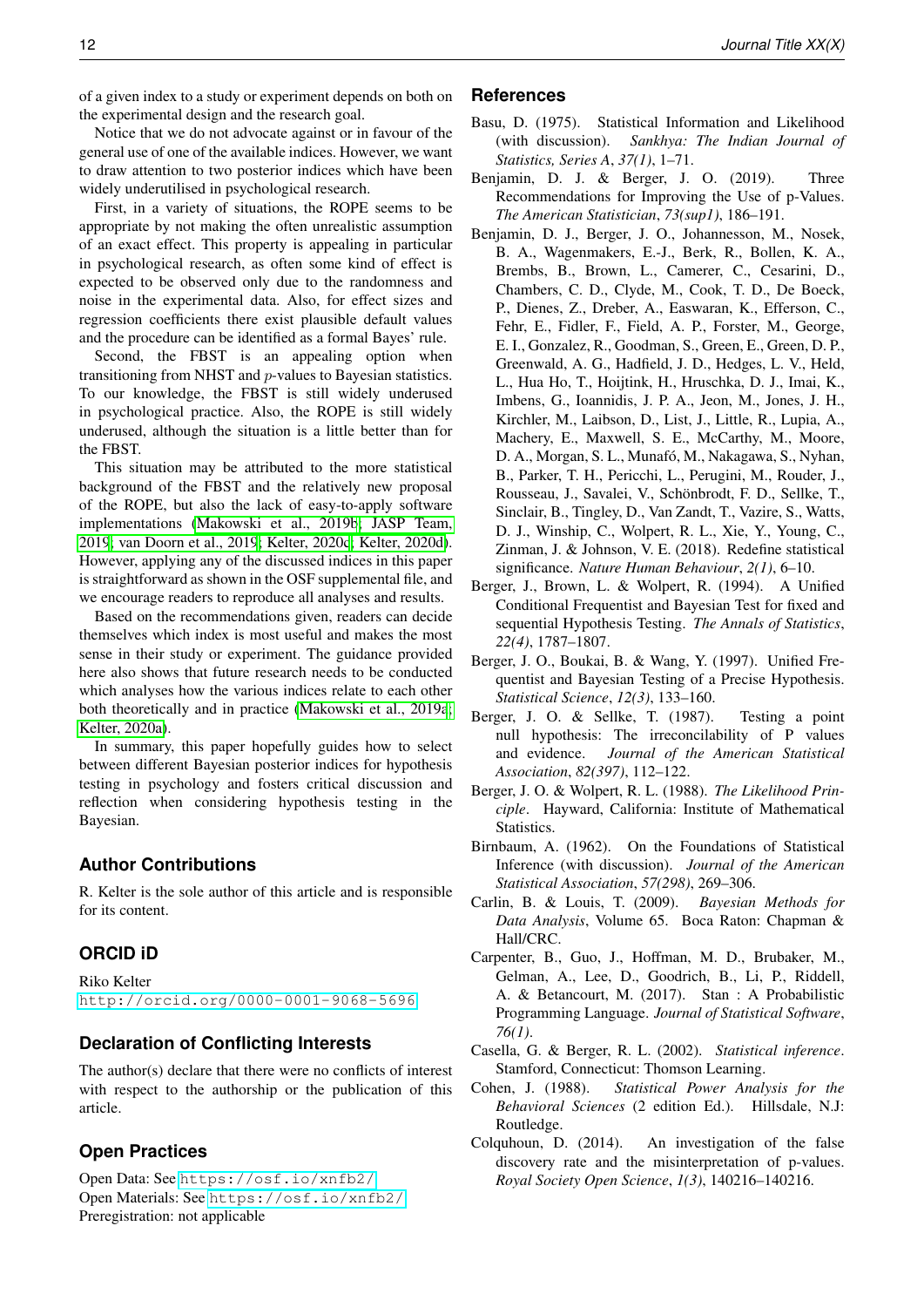of a given index to a study or experiment depends on both on the experimental design and the research goal.

Notice that we do not advocate against or in favour of the general use of one of the available indices. However, we want to draw attention to two posterior indices which have been widely underutilised in psychological research.

First, in a variety of situations, the ROPE seems to be appropriate by not making the often unrealistic assumption of an exact effect. This property is appealing in particular in psychological research, as often some kind of effect is expected to be observed only due to the randomness and noise in the experimental data. Also, for effect sizes and regression coefficients there exist plausible default values and the procedure can be identified as a formal Bayes' rule.

Second, the FBST is an appealing option when transitioning from NHST and p-values to Bayesian statistics. To our knowledge, the FBST is still widely underused in psychological practice. Also, the ROPE is still widely underused, although the situation is a little better than for the FBST.

This situation may be attributed to the more statistical background of the FBST and the relatively new proposal of the ROPE, but also the lack of easy-to-apply software implementations [\(Makowski et al., 2019b](#page-13-33)[; JASP Team,](#page-12-26) [2019](#page-12-26)[; van Doorn et al., 2019](#page-12-24)[; Kelter, 2020c](#page-12-36)[; Kelter, 2020d\)](#page-12-37). However, applying any of the discussed indices in this paper is straightforward as shown in the OSF supplemental file, and we encourage readers to reproduce all analyses and results.

Based on the recommendations given, readers can decide themselves which index is most useful and makes the most sense in their study or experiment. The guidance provided here also shows that future research needs to be conducted which analyses how the various indices relate to each other both theoretically and in practice [\(Makowski et al., 2019a](#page-13-13)[;](#page-12-8) [Kelter, 2020a\)](#page-12-8).

In summary, this paper hopefully guides how to select between different Bayesian posterior indices for hypothesis testing in psychology and fosters critical discussion and reflection when considering hypothesis testing in the Bayesian.

# **Author Contributions**

R. Kelter is the sole author of this article and is responsible for its content.

# **ORCID iD**

Riko Kelter <http://orcid.org/0000-0001-9068-5696>

# **Declaration of Conflicting Interests**

The author(s) declare that there were no conflicts of interest with respect to the authorship or the publication of this article.

# **Open Practices**

Open Data: See <https://osf.io/xnfb2/> Open Materials: See <https://osf.io/xnfb2/> Preregistration: not applicable

#### **References**

- <span id="page-11-4"></span>Basu, D. (1975). Statistical Information and Likelihood (with discussion). *Sankhya: The Indian Journal of Statistics, Series A*, *37(1)*, 1–71.
- <span id="page-11-2"></span>Benjamin, D. J. & Berger, J. O. (2019). Three Recommendations for Improving the Use of p-Values. *The American Statistician*, *73(sup1)*, 186–191.
- <span id="page-11-1"></span>Benjamin, D. J., Berger, J. O., Johannesson, M., Nosek, B. A., Wagenmakers, E.-J., Berk, R., Bollen, K. A., Brembs, B., Brown, L., Camerer, C., Cesarini, D., Chambers, C. D., Clyde, M., Cook, T. D., De Boeck, P., Dienes, Z., Dreber, A., Easwaran, K., Efferson, C., Fehr, E., Fidler, F., Field, A. P., Forster, M., George, E. I., Gonzalez, R., Goodman, S., Green, E., Green, D. P., Greenwald, A. G., Hadfield, J. D., Hedges, L. V., Held, L., Hua Ho, T., Hoijtink, H., Hruschka, D. J., Imai, K., Imbens, G., Ioannidis, J. P. A., Jeon, M., Jones, J. H., Kirchler, M., Laibson, D., List, J., Little, R., Lupia, A., Machery, E., Maxwell, S. E., McCarthy, M., Moore, D. A., Morgan, S. L., Munafó, M., Nakagawa, S., Nyhan, B., Parker, T. H., Pericchi, L., Perugini, M., Rouder, J., Rousseau, J., Savalei, V., Schönbrodt, F. D., Sellke, T., Sinclair, B., Tingley, D., Van Zandt, T., Vazire, S., Watts, D. J., Winship, C., Wolpert, R. L., Xie, Y., Young, C., Zinman, J. & Johnson, V. E. (2018). Redefine statistical significance. *Nature Human Behaviour*, *2(1)*, 6–10.
- <span id="page-11-11"></span>Berger, J., Brown, L. & Wolpert, R. (1994). A Unified Conditional Frequentist and Bayesian Test for fixed and sequential Hypothesis Testing. *The Annals of Statistics*, *22(4)*, 1787–1807.
- <span id="page-11-10"></span>Berger, J. O., Boukai, B. & Wang, Y. (1997). Unified Frequentist and Bayesian Testing of a Precise Hypothesis. *Statistical Science*, *12(3)*, 133–160.
- <span id="page-11-9"></span>Berger, J. O. & Sellke, T. (1987). Testing a point null hypothesis: The irreconcilability of P values and evidence. *Journal of the American Statistical Association*, *82(397)*, 112–122.
- <span id="page-11-5"></span>Berger, J. O. & Wolpert, R. L. (1988). *The Likelihood Principle*. Hayward, California: Institute of Mathematical Statistics.
- <span id="page-11-3"></span>Birnbaum, A. (1962). On the Foundations of Statistical Inference (with discussion). *Journal of the American Statistical Association*, *57(298)*, 269–306.
- <span id="page-11-12"></span>Carlin, B. & Louis, T. (2009). *Bayesian Methods for Data Analysis*, Volume 65. Boca Raton: Chapman & Hall/CRC.
- <span id="page-11-6"></span>Carpenter, B., Guo, J., Hoffman, M. D., Brubaker, M., Gelman, A., Lee, D., Goodrich, B., Li, P., Riddell, A. & Betancourt, M. (2017). Stan : A Probabilistic Programming Language. *Journal of Statistical Software*, *76(1)*.
- <span id="page-11-8"></span>Casella, G. & Berger, R. L. (2002). *Statistical inference*. Stamford, Connecticut: Thomson Learning.
- <span id="page-11-7"></span>Cohen, J. (1988). *Statistical Power Analysis for the Behavioral Sciences* (2 edition Ed.). Hillsdale, N.J: Routledge.
- <span id="page-11-0"></span>Colquhoun, D. (2014). An investigation of the false discovery rate and the misinterpretation of p-values. *Royal Society Open Science*, *1(3)*, 140216–140216.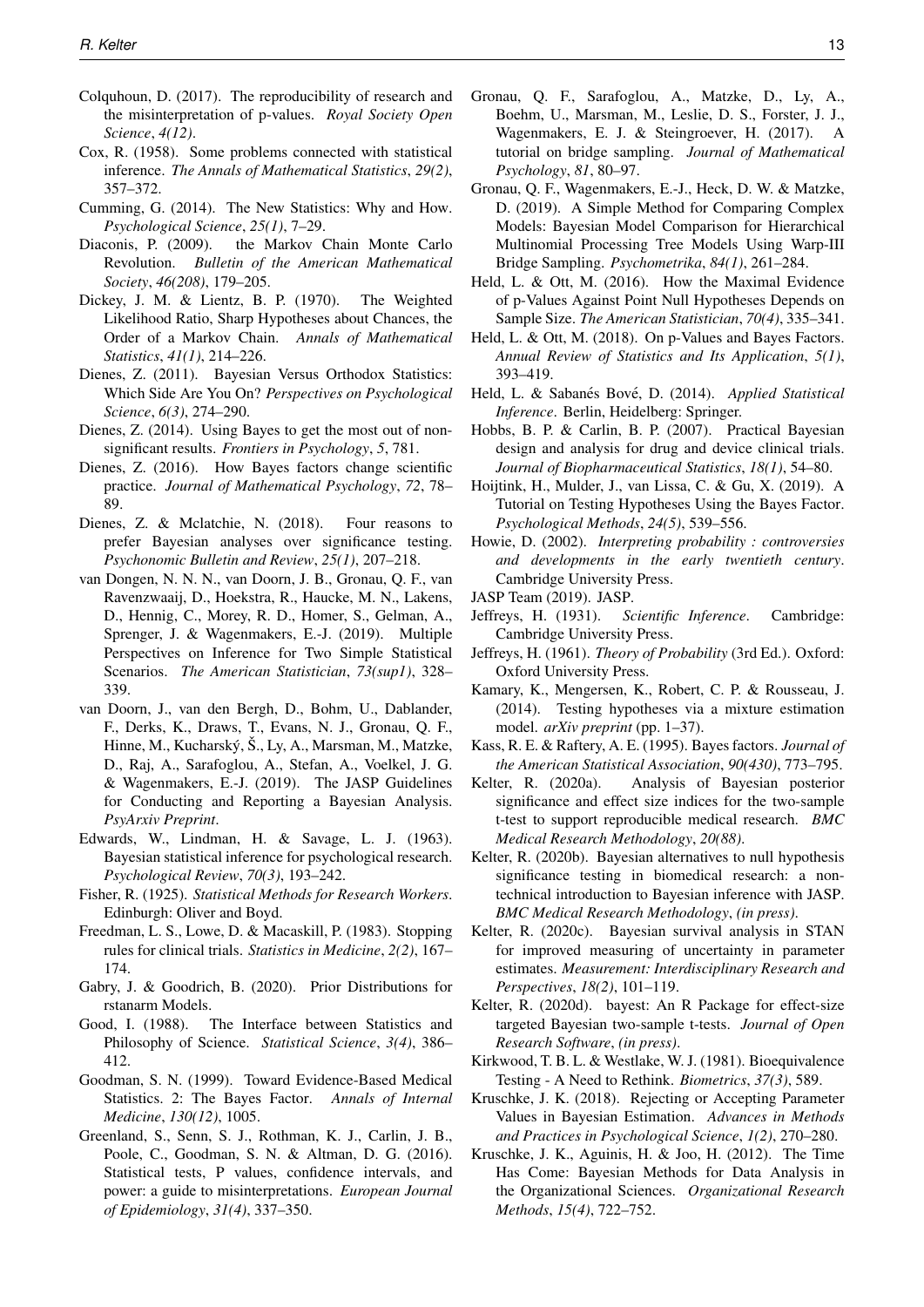- <span id="page-12-2"></span>Colquhoun, D. (2017). The reproducibility of research and the misinterpretation of p-values. *Royal Society Open Science*, *4(12)*.
- <span id="page-12-3"></span>Cox, R. (1958). Some problems connected with statistical inference. *The Annals of Mathematical Statistics*, *29(2)*, 357–372.
- <span id="page-12-29"></span>Cumming, G. (2014). The New Statistics: Why and How. *Psychological Science*, *25(1)*, 7–29.
- <span id="page-12-10"></span>Diaconis, P. (2009). the Markov Chain Monte Carlo Revolution. *Bulletin of the American Mathematical Society*, *46(208)*, 179–205.
- <span id="page-12-21"></span>Dickey, J. M. & Lientz, B. P. (1970). The Weighted Likelihood Ratio, Sharp Hypotheses about Chances, the Order of a Markov Chain. *Annals of Mathematical Statistics*, *41(1)*, 214–226.
- <span id="page-12-5"></span>Dienes, Z. (2011). Bayesian Versus Orthodox Statistics: Which Side Are You On? *Perspectives on Psychological Science*, *6(3)*, 274–290.
- <span id="page-12-6"></span>Dienes, Z. (2014). Using Bayes to get the most out of nonsignificant results. *Frontiers in Psychology*, *5*, 781.
- <span id="page-12-28"></span>Dienes, Z. (2016). How Bayes factors change scientific practice. *Journal of Mathematical Psychology*, *72*, 78– 89.
- <span id="page-12-7"></span>Dienes, Z. & Mclatchie, N. (2018). Four reasons to prefer Bayesian analyses over significance testing. *Psychonomic Bulletin and Review*, *25(1)*, 207–218.
- <span id="page-12-35"></span>van Dongen, N. N. N., van Doorn, J. B., Gronau, Q. F., van Ravenzwaaij, D., Hoekstra, R., Haucke, M. N., Lakens, D., Hennig, C., Morey, R. D., Homer, S., Gelman, A., Sprenger, J. & Wagenmakers, E.-J. (2019). Multiple Perspectives on Inference for Two Simple Statistical Scenarios. *The American Statistician*, *73(sup1)*, 328– 339.
- <span id="page-12-24"></span>van Doorn, J., van den Bergh, D., Bohm, U., Dablander, F., Derks, K., Draws, T., Evans, N. J., Gronau, Q. F., Hinne, M., Kucharský, Š., Ly, A., Marsman, M., Matzke, D., Raj, A., Sarafoglou, A., Stefan, A., Voelkel, J. G. & Wagenmakers, E.-J. (2019). The JASP Guidelines for Conducting and Reporting a Bayesian Analysis. *PsyArxiv Preprint*.
- <span id="page-12-4"></span>Edwards, W., Lindman, H. & Savage, L. J. (1963). Bayesian statistical inference for psychological research. *Psychological Review*, *70(3)*, 193–242.
- <span id="page-12-1"></span>Fisher, R. (1925). *Statistical Methods for Research Workers*. Edinburgh: Oliver and Boyd.
- <span id="page-12-32"></span>Freedman, L. S., Lowe, D. & Macaskill, P. (1983). Stopping rules for clinical trials. *Statistics in Medicine*, *2(2)*, 167– 174.
- <span id="page-12-9"></span>Gabry, J. & Goodrich, B. (2020). Prior Distributions for rstanarm Models.
- <span id="page-12-31"></span>Good, I. (1988). The Interface between Statistics and Philosophy of Science. *Statistical Science*, *3(4)*, 386– 412.
- <span id="page-12-22"></span>Goodman, S. N. (1999). Toward Evidence-Based Medical Statistics. 2: The Bayes Factor. *Annals of Internal Medicine*, *130(12)*, 1005.
- <span id="page-12-30"></span>Greenland, S., Senn, S. J., Rothman, K. J., Carlin, J. B., Poole, C., Goodman, S. N. & Altman, D. G. (2016). Statistical tests, P values, confidence intervals, and power: a guide to misinterpretations. *European Journal of Epidemiology*, *31(4)*, 337–350.
- <span id="page-12-19"></span>Gronau, Q. F., Sarafoglou, A., Matzke, D., Ly, A., Boehm, U., Marsman, M., Leslie, D. S., Forster, J. J., Wagenmakers, E. J. & Steingroever, H. (2017). A tutorial on bridge sampling. *Journal of Mathematical Psychology*, *81*, 80–97.
- <span id="page-12-20"></span>Gronau, Q. F., Wagenmakers, E.-J., Heck, D. W. & Matzke, D. (2019). A Simple Method for Comparing Complex Models: Bayesian Model Comparison for Hierarchical Multinomial Processing Tree Models Using Warp-III Bridge Sampling. *Psychometrika*, *84(1)*, 261–284.
- <span id="page-12-23"></span>Held, L. & Ott, M. (2016). How the Maximal Evidence of p-Values Against Point Null Hypotheses Depends on Sample Size. *The American Statistician*, *70(4)*, 335–341.
- <span id="page-12-14"></span>Held, L. & Ott, M. (2018). On p-Values and Bayes Factors. *Annual Review of Statistics and Its Application*, *5(1)*, 393–419.
- <span id="page-12-18"></span>Held, L. & Sabanés Bové, D. (2014). Applied Statistical *Inference*. Berlin, Heidelberg: Springer.
- <span id="page-12-33"></span>Hobbs, B. P. & Carlin, B. P. (2007). Practical Bayesian design and analysis for drug and device clinical trials. *Journal of Biopharmaceutical Statistics*, *18(1)*, 54–80.
- <span id="page-12-27"></span>Hoijtink, H., Mulder, J., van Lissa, C. & Gu, X. (2019). A Tutorial on Testing Hypotheses Using the Bayes Factor. *Psychological Methods*, *24(5)*, 539–556.
- <span id="page-12-0"></span>Howie, D. (2002). *Interpreting probability : controversies and developments in the early twentieth century*. Cambridge University Press.
- <span id="page-12-26"></span><span id="page-12-17"></span>JASP Team (2019). JASP.
- Jeffreys, H. (1931). *Scientific Inference*. Cambridge: Cambridge University Press.
- <span id="page-12-12"></span>Jeffreys, H. (1961). *Theory of Probability* (3rd Ed.). Oxford: Oxford University Press.
- <span id="page-12-25"></span>Kamary, K., Mengersen, K., Robert, C. P. & Rousseau, J. (2014). Testing hypotheses via a mixture estimation model. *arXiv preprint* (pp. 1–37).
- <span id="page-12-13"></span>Kass, R. E. & Raftery, A. E. (1995). Bayes factors. *Journal of the American Statistical Association*, *90(430)*, 773–795.
- <span id="page-12-8"></span>Kelter, R. (2020a). Analysis of Bayesian posterior significance and effect size indices for the two-sample t-test to support reproducible medical research. *BMC Medical Research Methodology*, *20(88)*.
- <span id="page-12-11"></span>Kelter, R. (2020b). Bayesian alternatives to null hypothesis significance testing in biomedical research: a nontechnical introduction to Bayesian inference with JASP. *BMC Medical Research Methodology*, *(in press)*.
- <span id="page-12-36"></span>Kelter, R. (2020c). Bayesian survival analysis in STAN for improved measuring of uncertainty in parameter estimates. *Measurement: Interdisciplinary Research and Perspectives*, *18(2)*, 101–119.
- <span id="page-12-37"></span>Kelter, R. (2020d). bayest: An R Package for effect-size targeted Bayesian two-sample t-tests. *Journal of Open Research Software*, *(in press)*.
- <span id="page-12-15"></span>Kirkwood, T. B. L. & Westlake, W. J. (1981). Bioequivalence Testing - A Need to Rethink. *Biometrics*, *37(3)*, 589.
- <span id="page-12-16"></span>Kruschke, J. K. (2018). Rejecting or Accepting Parameter Values in Bayesian Estimation. *Advances in Methods and Practices in Psychological Science*, *1(2)*, 270–280.
- <span id="page-12-34"></span>Kruschke, J. K., Aguinis, H. & Joo, H. (2012). The Time Has Come: Bayesian Methods for Data Analysis in the Organizational Sciences. *Organizational Research Methods*, *15(4)*, 722–752.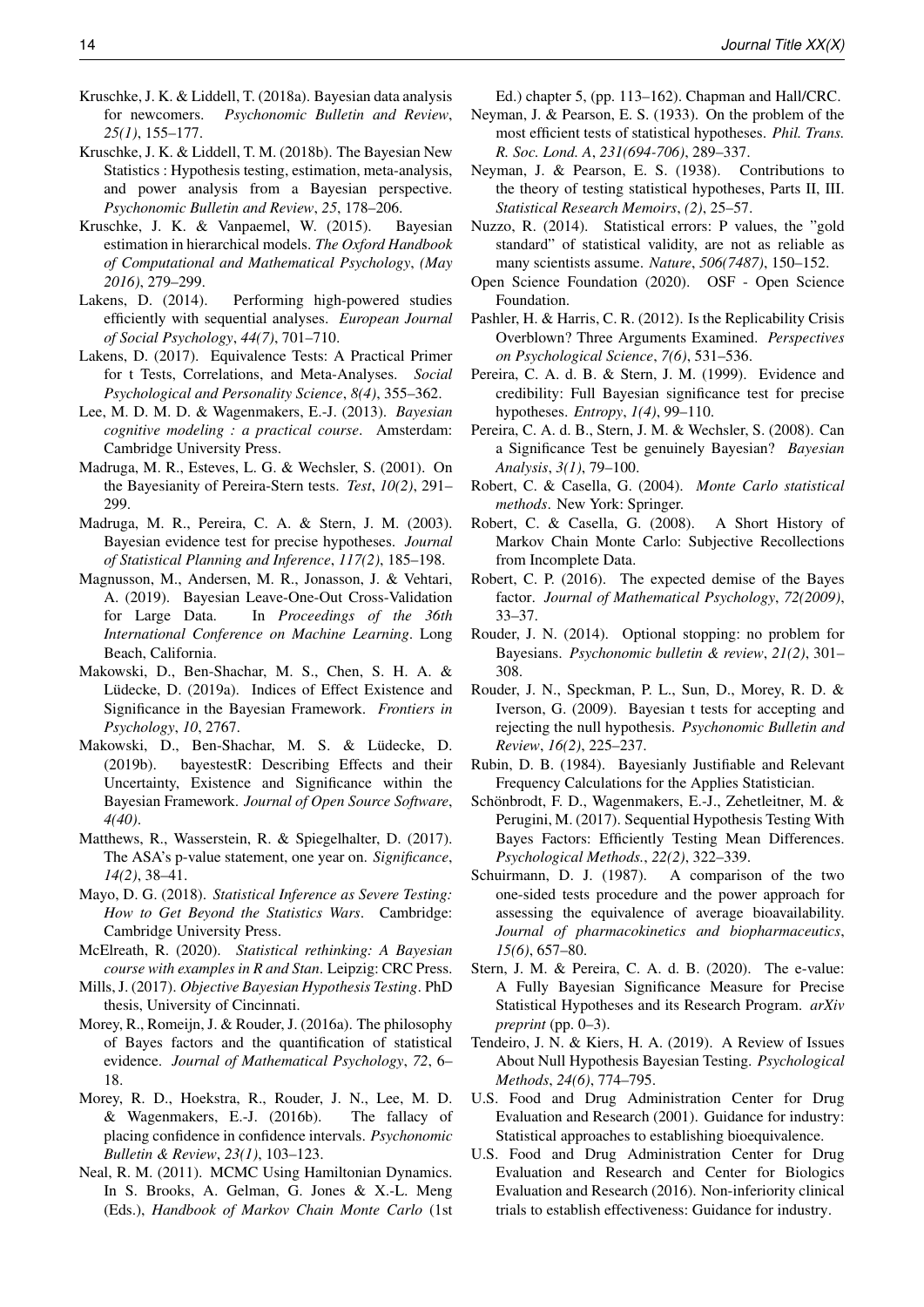- <span id="page-13-23"></span>Kruschke, J. K. & Liddell, T. (2018a). Bayesian data analysis for newcomers. *Psychonomic Bulletin and Review*, *25(1)*, 155–177.
- <span id="page-13-3"></span>Kruschke, J. K. & Liddell, T. M. (2018b). The Bayesian New Statistics : Hypothesis testing, estimation, meta-analysis, and power analysis from a Bayesian perspective. *Psychonomic Bulletin and Review*, *25*, 178–206.
- <span id="page-13-27"></span>Kruschke, J. K. & Vanpaemel, W. (2015). Bayesian estimation in hierarchical models. *The Oxford Handbook of Computational and Mathematical Psychology*, *(May 2016)*, 279–299.
- <span id="page-13-24"></span>Lakens, D. (2014). Performing high-powered studies efficiently with sequential analyses. *European Journal of Social Psychology*, *44(7)*, 701–710.
- <span id="page-13-25"></span>Lakens, D. (2017). Equivalence Tests: A Practical Primer for t Tests, Correlations, and Meta-Analyses. *Social Psychological and Personality Science*, *8(4)*, 355–362.
- <span id="page-13-20"></span>Lee, M. D. M. D. & Wagenmakers, E.-J. (2013). *Bayesian cognitive modeling : a practical course*. Amsterdam: Cambridge University Press.
- <span id="page-13-31"></span>Madruga, M. R., Esteves, L. G. & Wechsler, S. (2001). On the Bayesianity of Pereira-Stern tests. *Test*, *10(2)*, 291– 299.
- <span id="page-13-32"></span>Madruga, M. R., Pereira, C. A. & Stern, J. M. (2003). Bayesian evidence test for precise hypotheses. *Journal of Statistical Planning and Inference*, *117(2)*, 185–198.
- <span id="page-13-10"></span>Magnusson, M., Andersen, M. R., Jonasson, J. & Vehtari, A. (2019). Bayesian Leave-One-Out Cross-Validation for Large Data. In *Proceedings of the 36th International Conference on Machine Learning*. Long Beach, California.
- <span id="page-13-13"></span>Makowski, D., Ben-Shachar, M. S., Chen, S. H. A. & Lüdecke, D. (2019a). Indices of Effect Existence and Significance in the Bayesian Framework. *Frontiers in Psychology*, *10*, 2767.
- <span id="page-13-33"></span>Makowski, D., Ben-Shachar, M. S. & Lüdecke, D. (2019b). bayestestR: Describing Effects and their Uncertainty, Existence and Significance within the Bayesian Framework. *Journal of Open Source Software*, *4(40)*.
- <span id="page-13-36"></span>Matthews, R., Wasserstein, R. & Spiegelhalter, D. (2017). The ASA's p-value statement, one year on. *Significance*, *14(2)*, 38–41.
- <span id="page-13-0"></span>Mayo, D. G. (2018). *Statistical Inference as Severe Testing: How to Get Beyond the Statistics Wars*. Cambridge: Cambridge University Press.
- <span id="page-13-9"></span>McElreath, R. (2020). *Statistical rethinking: A Bayesian course with examples in R and Stan*. Leipzig: CRC Press.
- <span id="page-13-14"></span>Mills, J. (2017). *Objective Bayesian Hypothesis Testing*. PhD thesis, University of Cincinnati.
- <span id="page-13-6"></span>Morey, R., Romeijn, J. & Rouder, J. (2016a). The philosophy of Bayes factors and the quantification of statistical evidence. *Journal of Mathematical Psychology*, *72*, 6– 18.
- <span id="page-13-5"></span>Morey, R. D., Hoekstra, R., Rouder, J. N., Lee, M. D. & Wagenmakers, E.-J. (2016b). The fallacy of placing confidence in confidence intervals. *Psychonomic Bulletin & Review*, *23(1)*, 103–123.
- <span id="page-13-12"></span>Neal, R. M. (2011). MCMC Using Hamiltonian Dynamics. In S. Brooks, A. Gelman, G. Jones & X.-L. Meng (Eds.), *Handbook of Markov Chain Monte Carlo* (1st

Ed.) chapter 5, (pp. 113–162). Chapman and Hall/CRC.

- <span id="page-13-1"></span>Neyman, J. & Pearson, E. S. (1933). On the problem of the most efficient tests of statistical hypotheses. *Phil. Trans. R. Soc. Lond. A*, *231(694-706)*, 289–337.
- <span id="page-13-30"></span>Neyman, J. & Pearson, E. S. (1938). Contributions to the theory of testing statistical hypotheses, Parts II, III. *Statistical Research Memoirs*, *(2)*, 25–57.
- <span id="page-13-2"></span>Nuzzo, R. (2014). Statistical errors: P values, the "gold standard" of statistical validity, are not as reliable as many scientists assume. *Nature*, *506(7487)*, 150–152.
- <span id="page-13-35"></span>Open Science Foundation (2020). OSF - Open Science Foundation.
- <span id="page-13-34"></span>Pashler, H. & Harris, C. R. (2012). Is the Replicability Crisis Overblown? Three Arguments Examined. *Perspectives on Psychological Science*, *7(6)*, 531–536.
- <span id="page-13-15"></span>Pereira, C. A. d. B. & Stern, J. M. (1999). Evidence and credibility: Full Bayesian significance test for precise hypotheses. *Entropy*, *1(4)*, 99–110.
- <span id="page-13-16"></span>Pereira, C. A. d. B., Stern, J. M. & Wechsler, S. (2008). Can a Significance Test be genuinely Bayesian? *Bayesian Analysis*, *3(1)*, 79–100.
- <span id="page-13-8"></span>Robert, C. & Casella, G. (2004). *Monte Carlo statistical methods*. New York: Springer.
- <span id="page-13-11"></span>Robert, C. & Casella, G. (2008). A Short History of Markov Chain Monte Carlo: Subjective Recollections from Incomplete Data.
- <span id="page-13-21"></span>Robert, C. P. (2016). The expected demise of the Bayes factor. *Journal of Mathematical Psychology*, *72(2009)*, 33–37.
- <span id="page-13-4"></span>Rouder, J. N. (2014). Optional stopping: no problem for Bayesians. *Psychonomic bulletin & review*, *21(2)*, 301– 308.
- <span id="page-13-18"></span>Rouder, J. N., Speckman, P. L., Sun, D., Morey, R. D. & Iverson, G. (2009). Bayesian t tests for accepting and rejecting the null hypothesis. *Psychonomic Bulletin and Review*, *16(2)*, 225–237.
- <span id="page-13-19"></span>Rubin, D. B. (1984). Bayesianly Justifiable and Relevant Frequency Calculations for the Applies Statistician.
- <span id="page-13-22"></span>Schönbrodt, F. D., Wagenmakers, E.-J., Zehetleitner, M. & Perugini, M. (2017). Sequential Hypothesis Testing With Bayes Factors: Efficiently Testing Mean Differences. *Psychological Methods.*, *22(2)*, 322–339.
- <span id="page-13-26"></span>Schuirmann, D. J. (1987). A comparison of the two one-sided tests procedure and the power approach for assessing the equivalence of average bioavailability. *Journal of pharmacokinetics and biopharmaceutics*, *15(6)*, 657–80.
- <span id="page-13-17"></span>Stern, J. M. & Pereira, C. A. d. B. (2020). The e-value: A Fully Bayesian Significance Measure for Precise Statistical Hypotheses and its Research Program. *arXiv preprint* (pp. 0–3).
- <span id="page-13-7"></span>Tendeiro, J. N. & Kiers, H. A. (2019). A Review of Issues About Null Hypothesis Bayesian Testing. *Psychological Methods*, *24(6)*, 774–795.
- <span id="page-13-28"></span>U.S. Food and Drug Administration Center for Drug Evaluation and Research (2001). Guidance for industry: Statistical approaches to establishing bioequivalence.
- <span id="page-13-29"></span>U.S. Food and Drug Administration Center for Drug Evaluation and Research and Center for Biologics Evaluation and Research (2016). Non-inferiority clinical trials to establish effectiveness: Guidance for industry.